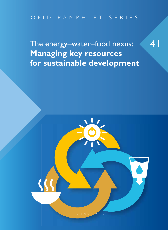# OFID PAMPHLET SERIES

The energy–water–food nexus: **Managing key resources for sustainable development** 41

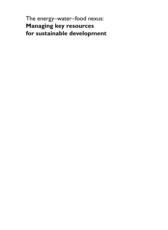The energy–water–food nexus: **Managing key resources for sustainable development**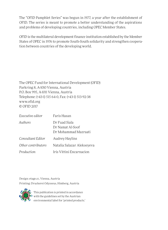The "OFID Pamphlet Series" was begun in 1977, a year after the establishment of OFID. The series is meant to promote a better understanding of the aspirations and problems of developing countries, including OPEC Member States.

OFID is the multilateral development finance institution established by the Member States of OPEC in 1976 to promote South-South solidarity and strengthen cooperation between countries of the developing world.

The OPEC Fund for International Development (OFID) Parkring 8, A-1010 Vienna, Austria P.O. Box 995, A-1011 Vienna, Austria Telephone: (+43-1) 515 64-0, Fax: (+43-1) 513-92-38 www.ofid.org © OFID 2017

| Executive editor   | Faris Hasan                                               |
|--------------------|-----------------------------------------------------------|
| Authors            | Dr Fuad Siala<br>Dr Namat Al-Soof<br>Dr Mohammad Mazraati |
| Consultant Editor  | Audrey Haylins                                            |
| Other contributors | Natalia Salazar Alekseyeva                                |
| Production         | Iris Vittini Encarnacion                                  |

Design: etage.cc, Vienna, Austria Printing: Druckerei Odysseus, Himberg, Austria



This publication is printed in accordance **D** with the guidelines set by the Austrian environmental label for 'printed products.'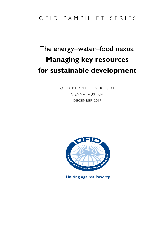## OFID PAMPHLET SERIES

# The energy–water–food nexus: **Managing key resources for sustainable development**

OFID PAMPHLET SERIES 41 VIENNA, AUSTRIA DECEMBER 2017



**Uniting against Poverty**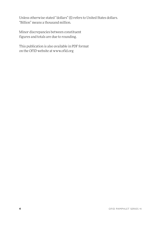Unless otherwise stated "dollars" (\$) refers to United States dollars. "Billion" means a thousand million.

Minor discrepancies between constituent figures and totals are due to rounding.

This publication is also available in PDF format on the OFID website at www.ofid.org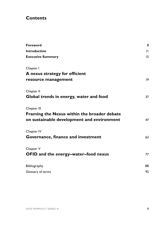### **Contents**

| Foreword                                    | 8            |
|---------------------------------------------|--------------|
| Introduction                                | $\mathbf{H}$ |
| <b>Executive Summary</b>                    | 15           |
| Chapter I                                   |              |
| A nexus strategy for efficient              |              |
| resource management                         | 9            |
| Chapter II                                  |              |
| Global trends in energy, water and food     | 37           |
| Chapter III                                 |              |
| Framing the Nexus within the broader debate |              |
| on sustainable development and environment  | 47           |
| Chapter IV                                  |              |
| Governance, finance and investment          | 63           |
| Chapter V                                   |              |
| OFID and the energy-water-food nexus        | 77           |
| Bibliography                                | 88           |
| Glossary of terms                           | 92           |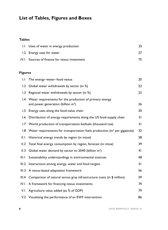# **List of Tables, Figures and Boxes**

### **Tables**

| 1.1 Uses of water in energy production       | 25  |
|----------------------------------------------|-----|
| 1.2 Energy uses for water                    |     |
| IV.I Sources of finance for nexus investment | 75. |
|                                              |     |

### **Figures**

| 1.1   | The energy-water-food nexus                                                                          | 20 |  |
|-------|------------------------------------------------------------------------------------------------------|----|--|
| 1.2   | Global water withdrawals by sector (in %)                                                            | 22 |  |
| 1.3   | Regional water withdrawals by sector (in %)                                                          |    |  |
|       | 1.4 Water requirements for the production of primary energy<br>and power generation (billion $m^3$ ) | 26 |  |
| 1.5   | Energy uses along the food-value chain                                                               |    |  |
| 1.6   | Distribution of energy requirements along the US food-supply chain<br>31                             |    |  |
| 1.7   | World production of transportation biofuels (thousand toe)                                           | 31 |  |
| 1.8   | Water requirements for transportation fuels production $(m^3$ per gigajoule)                         | 32 |  |
| II.I  | Historical energy trends by region (in mtoe)                                                         | 38 |  |
| II.2  | Total final energy consumption by region, forecast (in mtoe)                                         | 39 |  |
| II.3  | Global water demand by sector to 2040 (billion m <sup>3</sup> )                                      | 41 |  |
| III.1 | Sustainability understandings in environmental sciences                                              | 48 |  |
| III.2 | Interactions among energy, water and food targets                                                    | 51 |  |
| III.3 | A nexus-based adaptation framework                                                                   | 56 |  |
| III.4 | Comparison of natural versus gray infrastructure costs (in \$ million)                               | 59 |  |
| IV.I  | A framework for financing nexus investments                                                          | 74 |  |
| V.I   | Agriculture value added (as % of GDP)                                                                | 79 |  |
|       | V.2 Visualizing the performance of an EWF intervention                                               | 86 |  |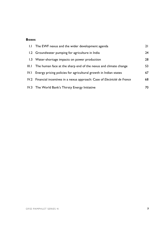#### **Boxes**

|       | 1.1 The EWF nexus and the wider development agenda                           | 21 |
|-------|------------------------------------------------------------------------------|----|
|       | 1.2 Groundwater pumping for agriculture in India                             | 24 |
|       | 1.3 Water-shortage impacts on power production                               | 28 |
| III.I | The human face at the sharp end of the nexus and climate change              | 53 |
| IV.L  | Energy pricing policies for agricultural growth in Indian states             | 67 |
|       | IV.2 Financial incentives in a nexus approach: Case of Electricité de France | 68 |
|       | IV.3 The World Bank's Thirsty Energy Initiative                              | 70 |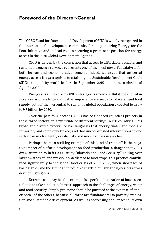### **Foreword of the Director-General**

The OPEC Fund for International Development (OFID) is widely recognized in the international development community for its pioneering Energy for the Poor initiative and its lead role in securing a prominent position for energy access in the 2030 Global Development Agenda.

OFID is driven by the conviction that access to affordable, reliable, and sustainable energy services represents one of the most powerful catalysts for both human and economic advancement. Indeed, we argue that universal energy access is a *prerequisite* to attaining the Sustainable Development Goals (SDGs) adopted by world leaders in September 2015 under the umbrella of Agenda 2030.

Energy sits at the core of OFID's strategic framework. But it does not sit in isolation. Alongside it—and just as important—are security of water and food supply, both of them essential to sustain a global population expected to grow to 9.7 billion by 2050.

Over the past four decades, OFID has co-financed countless projects in these three sectors, in a multitude of different settings in 120 countries. This broad and diverse experience has taught us that energy, water and food are intimately and complexly linked, and that uncoordinated interventions in one sector can inadvertently create risks and uncertainties in another.

Perhaps the most striking example of this kind of trade-off is the negative impact of biofuels development on food production, a danger that OFID drew attention to in its 2009 study "Biofuels and Food Security." Taking over large swathes of land previously dedicated to food crops, this practice contributed significantly to the global food crisis of 2007–2008, when shortages of basic staples and the attendant price hike sparked hunger and ugly riots across developing regions.

Extreme as it may be, this example is a perfect illustration of how essential it is to take a holistic, "nexus" approach to the challenges of energy, water and food security. Simply put: none should be pursued at the expense of one or both—of the others, because all three are fundamental to poverty eradication and sustainable development. As well as addressing challenges in its own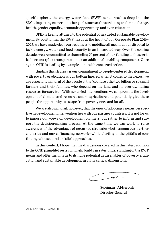specific sphere, the energy–water–food (EWF) nexus reaches deep into the SDGs, impacting numerous other goals, such as those relating to climate change, health, gender equality, economic opportunity, and even education.

OFID is keenly attuned to the potential of nexus-led sustainable development. By positioning the EWF nexus at the heart of our Corporate Plan 2016– 2025, we have made clear our readiness to mobilize all means at our disposal to tackle energy, water and food security in an integrated way. Over the coming decade, we are committed to channeling 70 percent of our funding to these critical sectors (plus transportation as an additional enabling component). Once again, OFID is leading by example—and with concerted action.

Guiding this strategy is our commitment to people-centered development, with poverty eradication as our bottom line. So, when it comes to the nexus, we are especially mindful of the people at the "coalface": the two billion or so small farmers and their families, who depend on the land and its ever-dwindling resources for survival. With nexus-led interventions, we can promote the development of climate- and resource-smart agriculture and potentially give these people the opportunity to escape from poverty once and for all.

We are also mindful, however, that the onus of adopting a nexus perspective in development intervention lies with our partner countries. It is not for us to impose our views on development planners, but rather to inform and support the decision-making process. At the same time, we can work to raise awareness of the advantages of nexus-led strategies—both among our partner countries and our cofinancing network—while alerting to the pitfalls of continuing with sectoral or "silo" approaches.

In this context, I hope that the discussions covered in this latest addition to the OFID pamphlet series will help build a greater understanding of the EWF nexus and offer insights as to its huge potential as an enabler of poverty eradication and sustainable development in all its critical dimensions.

 $\cal{N}$ 

Suleiman J Al-Herbish Director-General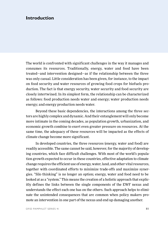### **Introduction**

The world is confronted with significant challenges in the way it manages and consumes its resources. Traditionally, energy, water and food have been treated—and intervention designed—as if the relationship between the three was only casual. Little consideration has been given, for instance, to the impact on food security and water resources of growing food crops for biofuels production. The fact is that energy security, water security and food security are closely intertwined. In its simplest form, the relationship can be characterized as follows: food production needs water and energy; water production needs energy; and energy production needs water.

Beyond these basic dependencies, the interactions among the three sectors are highly complex and dynamic. And their entanglement will only become more intimate in the coming decades, as population growth, urbanization, and economic growth combine to exert even greater pressure on resources. At the same time, the adequacy of these resources will be impacted as the effects of climate change become more significant.

In developed countries, the three resources (energy, water and food) are readily accessible. The same cannot be said, however, for the majority of developing countries, which face difficult challenges. With most of the world's population growth expected to occur in these countries, effective adaptation to climate change requires the efficient use of energy, water, land, and other vital resources, together with coordinated efforts to minimize trade-offs and maximize synergies. "Silo thinking" is no longer an option; energy, water and food need to be looked at as a "system." This means the creation of a holistic approach that explicitly defines the links between the single components of the EWF nexus and understands the effect each one has on the others. Such approach helps to eliminate the unintended consequences that are common when policy makers promote an intervention in one part of the nexus and end up damaging another.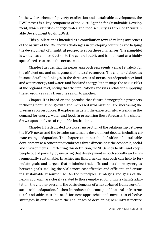In the wider scheme of poverty eradication and sustainable development, the EWF nexus is a key component of the 2030 Agenda for Sustainable Development, which identifies energy, water and food security as three of 17 Sustainable Development Goals (SDGs).

This publication is intended as a contribution toward raising awareness of the nature of the EWF nexus challenges in developing countries and helping the development of insightful perspectives on these challenges. The pamphlet is written as an introduction to the general public and is not meant as a highly specialized treatise on the nexus issue.

Chapter I argues that the nexus approach represents a smart strategy for the efficient use and management of natural resources. The chapter elaborates in some detail the linkages in the three areas of nexus interdependence: food and water; energy and water; and food and energy. It then maps the nexus risks at the regional level, noting that the implications and risks related to supplying these resources vary from one region to another.

Chapter II is based on the premise that future demographic prospects, including population growth and increased urbanization, are increasing the pressures on resources. It explores in detail the expected future trends in the demand for energy, water and food. In presenting these forecasts, the chapter draws upon analyses of reputable institutions.

Chapter III is dedicated to a closer inspection of the relationship between the EWF nexus and the broader sustainable development debate, including climate change adaptation. The chapter examines the definition of sustainable development as a concept that embraces three dimensions: the economic, social and environmental. Reflecting this definition, the SDGs seek to lift—and keep people out of poverty by ensuring that development is both socially and environmentally sustainable. In achieving this, a nexus approach can help to formulate goals and targets that minimize trade-offs and maximize synergies between goals, making the SDGs more cost-effective and efficient, and ensuring sustainable resource use. As the principles, strategies and goals of the nexus approach are closely related to those employed for climate change adaptation, the chapter presents the basic elements of a nexus-based framework for sustainable adaptation. It then introduces the concept of "natural infrastructure" and addresses the need for new approaches and novel, cost-effective strategies in order to meet the challenges of developing new infrastructure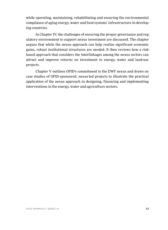while operating, maintaining, rehabilitating and ensuring the environmental compliance of aging energy, water and food systems' infrastructure in developing countries.

In Chapter IV, the challenges of ensuring the proper governance and regulatory environment to support nexus investment are discussed. The chapter argues that while the nexus approach can help realize significant economic gains, robust institutional structures are needed. It then reviews how a riskbased approach that considers the interlinkages among the nexus sectors can attract and improve returns on investment in energy, water and land-use projects.

Chapter V outlines OFID's commitment to the EWF nexus and draws on case studies of OFID-sponsored, nexus-led projects to illustrate the practical application of the nexus approach in designing, financing and implementing interventions in the energy, water and agriculture sectors.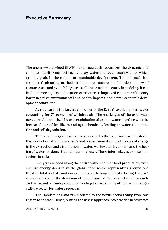### **Executive Summary**

The energy–water–food (EWF) nexus approach recognizes the dynamic and complex interlinkages between energy, water and food security, all of which are key goals in the context of sustainable development. The approach is a structured planning method that aims to capture the interdependency of resource use and availability across all three major sectors. In so doing, it can lead to a more optimal allocation of resources, improved economic efficiency, lower negative environmental and health impacts, and better economic development conditions.

Agriculture is the largest consumer of the Earth's available freshwater, accounting for 70 percent of withdrawals. The challenges of the *food–water nexus* are characterized by overexploitation of groundwater together with the increased use of fertilizers and agro-chemicals, leading to water contamination and soil degradation.

The *water–energy nexus* is characterized by the extensive use of water in the production of primary energy and power generation, and the role of energy in the extraction and distribution of water, wastewater treatment and the heating of water for domestic and industrial uses. These interlinkages expose both sectors to risks.

Energy is needed along the entire value chain of food production, with end-use energy demand in the global food sector representing around onethird of total global final energy demand. Among the risks facing the *food– energy nexus* are: the diversion of food crops for the production of biofuels, and increased biofuels production leading to greater competition with the agriculture sector for water resources.

The implications and risks related to the nexus sectors vary from one region to another. Hence, putting the nexus approach into practice necessitates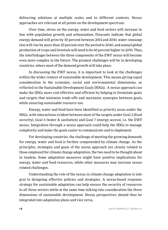delivering solutions at multiple scales and in different contexts. Nexus approaches are relevant at all points on the development spectrum.

Over time, stress on the energy, water and food sectors will increase in line with population growth and urbanization. Forecasts indicate that global energy demand will grow by 30 percent between 2014 and 2030, water consumption will rise by more than 20 percent over the period to 2040, and annual global production of crops and livestock will need to be 60 percent higher in 2050. Thus, the interlinkages between the three components of the EWF nexus will become even more complex in the future. The greatest challenges will be in developing countries, where most of the demand growth will take place.

In discussing the EWF nexus, it is important to look at the challenges within the wider context of sustainable development. This means giving equal consideration to the economic, social and environmental dimensions, as reflected in the Sustainable Development Goals (SDGs). A nexus approach can make the SDGs more cost-effective and efficient by helping to formulate goals and targets that minimize trade-offs and maximize synergies between goals, while ensuring sustainable resource use.

Energy, water and food have been identified as priority areas under the SDGs, with interactions evident between most of the targets under Goal 2 (food security), Goal 6 (water & sanitation) and Goal 7 (energy access), i.e. the EWF nexus. Integration through a nexus approach could help the SDGs to manage complexity and make the goals easier to communicate and to implement.

For developing countries, the challenge of meeting the growing demands for energy, water and food is further compounded by climate change. As the principles, strategies and goals of the nexus approach are closely related to those employed for climate change adaptation, the two need to be thought about in tandem. Some adaptation measures might have positive implications for energy, water and food resources, while other measures may increase nexusrelated challenges.

Understanding the role of the nexus in climate change adaptation is integral to designing effective policies and strategies. A nexus-based response strategy for sustainable adaptation can help ensure the security of resources in all three sectors while at the same time talking into consideration the three dimensions of sustainable development. Nexus perspectives should thus be integrated into adaptation plans and vice versa.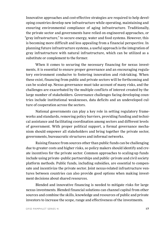Innovative approaches and cost-effective strategies are required to help developing countries develop new infrastructure while operating, maintaining and ensuring environmental compliance of aging infrastructure. Traditionally, the private sector and governments have relied on engineered approaches, or "gray infrastructure," to secure energy, water and food systems. However, this is becoming more difficult and less appealing from a financial perspective. In planning future infrastructure systems, a useful approach is the integration of gray infrastructure with natural infrastructure, which can be utilized as a substitute or complement to the former.

When it comes to securing the necessary financing for nexus investments, it is essential to ensure proper governance and an encouraging regulatory environment conducive to fostering innovation and risk-taking. When these exist, financing from public and private sectors will be forthcoming and can be scaled up. Nexus governance must take account of many risks, and the challenges are exacerbated by the multiple conflicts of interest created by the large number of stakeholders. Governance challenges facing developing countries include institutional weaknesses, data deficits and an undeveloped culture of cooperation across the sectors.

National governments can play a key role in setting regulatory frameworks and standards, removing policy barriers, providing funding and technical assistance and facilitating coordination among sectors and different levels of government. With proper political support, a formal governance mechanism should empower all stakeholders and bring together the private sector, governments, bureaucratic structures and informal networks.

Raising finance from sources other than public funds can be challenging due to greater costs and higher risks, so policy makers should identify and create incentives for the private sector. Common approaches to scaling-up funds include using private–public partnerships and public–private and civil society platform methods. Public funds, including subsidies, are essential to compensate and incentivize the private sector. Joint nexus-related infrastructure ventures between countries can also provide good options when making investment decisions about shared resources.

Blended and innovative financing is needed to mitigate risks for large nexus investments. Blended financial solutions can channel capital from other sources and combine the skills, knowledge and resources of public and private investors to increase the scope, range and effectiveness of the investments.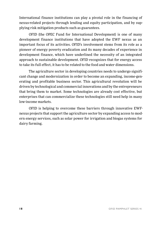International finance institutions can play a pivotal role in the financing of nexus-related projects through lending and equity participation, and by supplying risk mitigation products such as guarantees.

OFID (the OPEC Fund for International Development) is one of many development finance institutions that have adopted the EWF nexus as an important focus of its activities. OFID's involvement stems from its role as a pioneer of energy poverty eradication and its many decades of experience in development finance, which have underlined the necessity of an integrated approach to sustainable development. OFID recognizes that for energy access to take its full effect, it has to be related to the food and water dimensions.

The agriculture sector in developing countries needs to undergo significant change and modernization in order to become an expanding, income-generating and profitable business sector. This agricultural revolution will be driven by technological and commercial innovations and by the entrepreneurs that bring them to market. Some technologies are already cost effective, but enterprises that can commercialize these technologies still need help in many low-income markets.

OFID is helping to overcome these barriers through innovative EWFnexus projects that support the agriculture sector by expanding access to modern energy services, such as solar power for irrigation and biogas systems for dairy farming.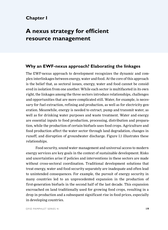### **Chapter I**

# **A nexus strategy for efficient resource management**

### **Why an EWF-nexus approach? Elaborating the linkages**

The EWF-nexus approach to development recognizes the dynamic and complex interlinkages between energy, water and food. At the core of this approach is the belief that, as sectoral issues, energy, water and food cannot be considered in isolation from one another. While each sector is multifaceted in its own right, the linkages among the three sectors introduce relationships, challenges and opportunities that are more complicated still. Water, for example, is necessary for fuel extraction, refining and production, as well as for electricity generation. Meanwhile, energy is needed to extract, pump and transmit water, as well as for drinking water purposes and waste treatment. Water and energy are essential inputs to food production, processing, distribution and preparation, while the production of certain biofuels uses food crops. Agriculture and food production affect the water sector through land degradation, changes in runoff, and disruption of groundwater discharge. Figure I.1 illustrates these relationships.

Food security, sound water management and universal access to modern energy services are key goals in the context of sustainable development. Risks and uncertainties arise if policies and interventions in these sectors are made without cross-sectoral coordination. Traditional development solutions that treat energy, water and food security separately are inadequate and often lead to unintended consequences. For example, the pursuit of energy security in many countries led to an unprecedented expansion in the production of first-generation biofuels in the second half of the last decade. This expansion encroached on land traditionally used for growing food crops, resulting in a drop in production and a subsequent significant rise in food prices, especially in developing countries.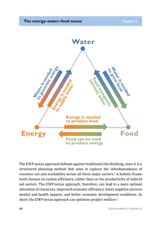

The EWF-nexus approach defends against traditional silo thinking, since it is a structured planning method that aims to capture the interdependency of resource use and availability across all three major sectors.2 A holistic framework focuses on system efficiency, rather than on the productivity of individual sectors. The EWF-nexus approach, therefore, can lead to a more optimal allocation of resources, improved economic efficiency, lower negative environmental and health impacts, and better economic development conditions. In short, the EWF-nexus approach can optimize people's welfare.<sup>3</sup>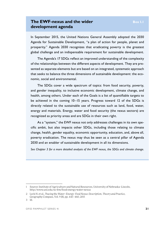### **The EWF-nexus and the wider Box I.1 development agenda**

In September 2015, the United Nations General Assembly adopted the 2030 Agenda for Sustainable Development, "a plan of action for people, planet and prosperity." Agenda 2030 recognizes that eradicating poverty is the greatest global challenge and an indispensable requirement for sustainable development.

The Agenda's 17 SDGs reflect an improved understanding of the complexity of the relationships between the different aspects of development. They are presented as separate elements but are based on an integrated, systematic approach that seeks to balance the three dimensions of sustainable development: the economic, social and environmental.

The SDGs cover a wide spectrum of topics: from food security, poverty, and gender inequality, to inclusive economic development, climate change, and health, among others. Under each of the Goals is a list of quantifiable targets to be achieved in the coming 10–15 years. Progress toward 12 of the SDGs is directly related to the sustainable use of resources such as land, food, water, energy and materials. Energy, water and food security (the nexus sectors) are recognized as priority areas and are SDGs in their own right.

As a "system," the EWF nexus not only addresses challenges in its own specific ambit, but also impacts other SDGs, including those relating to climate change, health, gender equality, economic opportunity, education, and, above all, poverty eradication. The nexus may thus be seen as a central pillar of Agenda 2030 and an enabler of sustainable development in all its dimensions.

*See Chapter 3 for a more detailed analysis of the EWF nexus, the SDGs and climate change.*

<sup>1</sup> Source: Institute of Agriculture and Natural Resources, University of Nebraska–Lincoln, http://www.unl.edu/nc-few/food-energy-water-nexus

<sup>2</sup> Leck H. et al., *Tracing the Water–Energy–Food Nexus: Description, Theory and Practice*, Geography Compass, Vol. 9 (8), pp. 445–460, 2015

<sup>3</sup> Id.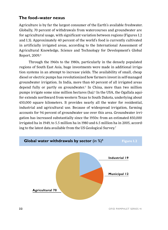### **The food–water nexus**

Agriculture is by far the largest consumer of the Earth's available freshwater. Globally, 70 percent of withdrawals from watercourses and groundwater are for agricultural usage, with significant variation between regions (Figures I.2 and I.3). Approximately 40 percent of the world's food is currently cultivated in artificially irrigated areas, according to the International Assessment of Agricultural Knowledge, Science and Technology for Development's Global Report, 2009.4

Through the 1960s to the 1980s, particularly in the densely populated regions of South East Asia, huge investments were made in additional irrigation systems in an attempt to increase yields. The availability of small, cheap diesel or electric pumps has revolutionized how farmers invest in self-managed groundwater irrigation. In India, more than 60 percent of all irrigated areas depend fully or partly on groundwater.5 In China, more than two million pumps irrigate some nine million hectares (ha).<sup>6</sup> In the USA, the Ogallala aquifer extends northward from western Texas to South Dakota, underlying about 450,000 square kilometers. It provides nearly all the water for residential, industrial and agricultural use. Because of widespread irrigation, farming accounts for 94 percent of groundwater use over this area. Groundwater irrigation has increased substantially since the 1950s: from an estimated 850,000 irrigated ha in 1949, to 5.5 million ha in 1980 and 6.5 million ha in 2005, according to the latest data available from the US Geological Survey.7

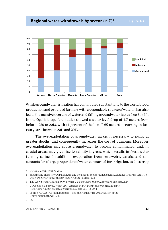

While groundwater irrigation has contributed substantially to the world's food production and provided farmers with a dependable source of water, it has also led to the massive overuse of water and falling groundwater tables (see Box I.1). In the Ogallala aquifer, studies showed a water-level drop of 4.7 meters from before 1950 to 2013, with 14 percent of the loss (0.65 meters) occurring in just two years, between 2011 and 2013.9

The overexploitation of groundwater makes it necessary to pump at greater depths, and consequently increases the cost of pumping. Moreover, overexploitation may cause groundwater to become contaminated, and, in coastal areas, may give rise to salinity ingress, which results in fresh water turning saline. In addition, evaporation from reservoirs, canals, and soil accounts for a large proportion of water earmarked for irrigation, as does crop

<sup>4</sup> IAASTD Global Report, 2009

<sup>5</sup> Sustainable Energy for All (SEforAll) and the Energy Sector Management Assistance Program (ESMAP), *Direct Delivery of Power Subsidy to Agriculture in India*, 2015

<sup>6</sup> The World Water Council, *World Water Vision: Making Water Everybody's Business*, 2014

<sup>7</sup> US Geological Survey, *Water-Level Changes and Change in Water in Storage in the High Plains Aquifer, Predevelopment to 2013 and 2011–13*, 2014

<sup>8</sup> Source: AQUASTAT Main Database, Food and Agriculture Organization of the United Nations (FAO), 2016

<sup>9</sup> Id.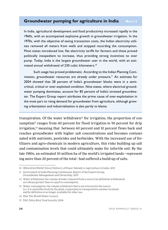### **Groundwater pumping for agriculture in India** Box 1.2

In India, agricultural development and food productivity increased rapidly in the 1960s, with an accompanied explosive growth in groundwater irrigation. In the 1970s, with the objective of saving transaction costs, the Indian electricity utilities removed all meters from wells and stopped recording the consumption. Most states introduced low, flat electricity tariffs for farmers and these proved politically inexpedient to increase, thus providing strong incentives to over pump. Today, India is the largest groundwater user in the world, with an estimated annual withdrawal of 230 cubic kilometers.<sup>10</sup>

Such usage has proved problematic. According to the Indian Planning Commission, groundwater resources are already under pressure.<sup>11</sup> An estimate for 2004 showed that 28 percent of India's groundwater blocks were in a semicritical, critical or over-exploited condition. Nine states, where electrical groundwater pumping dominates, account for 85 percent of India's stressed groundwater. The Expert Group report attributes the prime cause of over-exploitation in the most part to rising demand for groundwater from agriculture, although growing urbanization and industrialization is also partly to blame.

transpiration. Of the water withdrawn<sup>12</sup> for irrigation, the proportion of consumption<sup>13</sup> ranges from 40 percent for flood irrigation to 90 percent for drip irrigation, $14$  meaning that between 60 percent and 10 percent flows back and reaches groundwater with higher salt concentrations and becomes contaminated with nutrients, pesticides and herbicides. With the increased use of fertilizers and agro-chemicals in modern agriculture, this risks building up salt and contamination levels that could ultimately make for infertile soil. By the late 1980s, an estimated 50 million ha of the world's irrigated lands—representing more than 20 percent of the total—had suffered a build-up of salts.

<sup>10</sup> SEforAll & ESMAP, Direct Delivery of Power Subsidy to Agriculture in India, 2015

<sup>11</sup> Government of India Planning Commission, Report of the Expert Group, Groundwater Management and Ownership, 2007

<sup>12</sup> Water withdrawal: the volume of water removed from a source; by definition withdrawals are always greater than or equal to consumption.

<sup>13</sup> Water consumption: the volume withdrawn that is not returned to the source (i.e. it is used effectively by the plant, evaporated or transported to another location) and by definition is no longer available for other use.

<sup>14</sup> Ibid, The World Water Council,

<sup>15</sup> FAO, *Policy Brief: Food Security*, 2006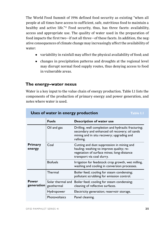The World Food Summit of 1996 defined food security as existing "when all people at all times have access to sufficient, safe, nutritious food to maintain a healthy and active life."15 Food security, thus, has three facets: availability, access and appropriate use. The quality of water used in the preparation of food impacts the first two—if not all three—of these facets. In addition, the negative consequences of climate change may increasingly affect the availability of water:

- variability in rainfall may affect the physical availability of food; and
- changes in precipitation patterns and droughts at the regional level may disrupt normal food supply routes, thus denying access to food in vulnerable areas.

#### **The energy–water nexus**

Water is a key input to the value chain of energy production. Table I.1 lists the components of the production of primary energy and power generation, and notes where water is used.

| Uses of water in energy production<br>Table I.I |                                 |                                                                                                                                                                    |  |
|-------------------------------------------------|---------------------------------|--------------------------------------------------------------------------------------------------------------------------------------------------------------------|--|
|                                                 | <b>Fuels</b>                    | Description of water use                                                                                                                                           |  |
|                                                 | Oil and gas                     | Drilling, well completion and hydraulic fracturing;<br>secondary and enhanced oil recovery; oil sands<br>mining and in situ recovery; upgrading and<br>refining.   |  |
| <b>Primary</b><br>energy                        | Coal                            | Cutting and dust suppression in mining and<br>hauling; washing to improve quality; re-<br>vegetation of surface mines; long-distance<br>transport via coal slurry. |  |
|                                                 | <b>Biofuels</b>                 | Irrigation for feedstock crop growth, wet milling,<br>washing and cooling in conversion processes.                                                                 |  |
|                                                 | Thermal                         | Boiler feed; cooling for steam condensing;<br>pollutant scrubbing for emission control.                                                                            |  |
| Power<br>generation                             | Solar thermal and<br>geothermal | Boiler feed; cooling for steam condensing;<br>cleaning of reflective surfaces.                                                                                     |  |
|                                                 | Hydropower                      | Electricity generation; reservoir storage.                                                                                                                         |  |
|                                                 | Photovoltaics                   | Panel cleaning.                                                                                                                                                    |  |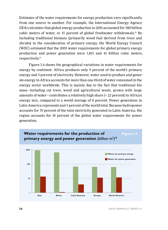Estimates of the water requirements for energy production vary significantly from one source to another. For example, the International Energy Agency (IEA) calculates that global energy production in 2010 accounted for 580 billion cubic meters of water, or 15 percent of global freshwater withdrawals.16 By including traditional biomass (primarily wood fuel derived from trees and shrubs) in the consideration of primary energy, the World Energy Council (WEC) estimated that the 2005 water requirements for global primary energy production and power generation were 1,815 and 41 billion cubic meters, respectively.17

Figure I.4 shows the geographical variations in water requirements for energy by continent. Africa produces only 9 percent of the world's primary energy and 3 percent of electricity. However, water used to produce and generate energy in Africa accounts for more than one-third of water consumed in the energy sector worldwide. This is mainly due to the fact that traditional biomass—including cut trees, wood and agricultural waste, grown with large amounts of water—contributes a relatively high share (~ 22 percent) to Africa's energy mix, compared to a world average of 8 percent. Power generation in Latin America represents just 5 percent of the world total. Because hydropower accounts for 70 percent of the total electricity generated in Latin America, the region accounts for 10 percent of the global water requirements for power generation.

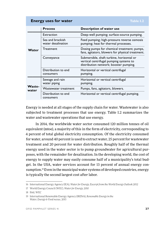| <b>Energy uses for water</b><br>Table 1.2 |                                        |                                                                                                                                |
|-------------------------------------------|----------------------------------------|--------------------------------------------------------------------------------------------------------------------------------|
|                                           | <b>Process</b>                         | Description of water use                                                                                                       |
|                                           | Extraction                             | Deep-well pumping; surface-source pumping.                                                                                     |
|                                           | Sea and brackish<br>water desalination | Feed pumping; high-pressure reverse osmosis<br>pumping; heat for thermal processes.                                            |
| Water                                     | Treatment                              | Dosing pumps for chemical treatment; pumps,<br>fans, agitators, blowers for physical treatment.                                |
|                                           | Conveyance                             | Submersible, shaft turbine, horizontal or<br>vertical centrifugal pumping systems to<br>distribution network; booster pumping. |
|                                           | Distribution to end<br>consumers       | Horizontal or vertical centrifugal<br>pumping.                                                                                 |
| Waste-<br>water                           | Sewage and rain<br>water piping        | Horizontal or vertical centrifugal<br>pumping.                                                                                 |
|                                           | Wastewater treatment                   | Pumps, fans, agitators, blowers.                                                                                               |
|                                           | Distribution to end<br>consumers       | Horizontal or vertical centrifugal pumping.                                                                                    |

Energy is needed at all stages of the supply chain for water. Wastewater is also subjected to treatment processes that use energy. Table I.2 summarizes the water and wastewater operations that use energy.

In 2014, the worldwide water sector consumed 120 million tonnes of oil equivalent (mtoe), a majority of this in the form of electricity, corresponding to 4 percent of total global electricity consumption. Of the electricity consumed for water, around 40 percent is used to extract water, 25 percent for wastewater treatment and 20 percent for water distribution. Roughly half of the thermal energy used in the water sector is to pump groundwater for agricultural purposes, with the remainder for desalination. In the developing world, the cost of energy to supply water may easily consume half of a municipality's total budget. In the USA, water services account for 13 percent of annual energy consumption.19 Even in the municipal water systems of developed countries, energy is typically the second largest cost after labor.

<sup>16</sup> International Energy Agency (IEA), *Water for Energy, Excerpt from the World Energy Outlook 2012*

<sup>17</sup> World Energy Council (WEC), *Water for Energy, 2010*

<sup>18</sup> Ibid, WEC

<sup>19</sup> International Renewable Energy Agency (IRENA), *Renewable Energy in the Water, Energy & Food nexus*, 2015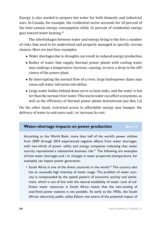Energy is also needed to prepare hot water for both domestic and industrial uses. In Canada, for example, the residential sector accounts for 20 percent of the total annual energy consumption while 22 percent of residential energy goes toward water heating.20

The interlinkages between water and energy bring to the fore a number of risks that need to be understood and properly managed in specific circumstances. Here are just four examples:

- Water shortages due to droughts can result in reduced energy production.
- Bodies of water that supply thermal power plants with cooling water may undergo a temperature increase, causing, in turn, a drop in the efficiency of the power plant.
- By interrupting the normal flow of a river, large hydropower dams may cause salt water intrusion into deltas.
- Large water bodies behind dams serve as heat sinks, and the water is hotter than the normal river water. This warm water can affect ecosystems, as well as the efficiency of thermal power plants downstream (see Box I.2).

On the other hand, restricted access to affordable energy may hamper the delivery of water to end users and / or increase its cost.

#### **Water-shortage impacts on power production** Box 1.3

According to the World Bank, more than half of the world's power utilities from 2009 through 2014 experienced negative effects from water shortages, with two-thirds of power utility and energy companies indicating that water scarcity represented a substantive business risk.<sup>21</sup> The following are examples of how water shortages and / or changes in water properties (temperature, for example) can impact power generation:

• South Africa is one of the driest countries in the world.<sup>22</sup> The country also has an unusually high intensity of water usage. The problem of water scarcity is compounded by the spatial pattern of economic activity and settlement, which is out of line with the natural availability of water. Lack of sufficient water resources in South Africa means that the wet-cooling of coal-fired power stations is not possible. As early as the 1930s, the South African electricity public utility Eskom was aware of the potential impact of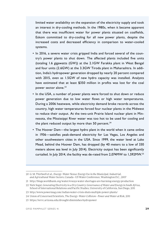limited water availability on the expansion of the electricity supply and took an interest in dry-cooling methods. In the 1980s, when it became apparent that there was insufficient water for power plants situated on coalfields, Eskom committed to dry-cooling for all new power plants, despite the increased costs and decreased efficiency in comparison to water-cooled systems.

- In 2016, a severe water crisis gripped India and forced several of the country's power plants to shut down. The affected plants included five units (totaling 1.6 gigawatts (GW)) at the 2.1GW Farakka plant in West Bengal and four units (2.6GW) at the 3.3GW Tiroda plant in Maharashtra. In addition, India's hydropower generation dropped by nearly 20 percent compared with 2015, even as 1.5GW of new hydro capacity was installed. Analysts have estimated that at least \$350 million in profits was lost for the coal power sector alone.23
- In the USA, a number of power plants were forced to shut down or reduce power generation due to low water flows or high water temperatures. During a 2006 heatwave, while electricity demand broke records across the country, high water temperatures forced four nuclear plants in the Midwest to reduce their output. At the two-unit Prairie Island nuclear plant in Minnesota, the Mississippi River water was too hot to be used for cooling and the plant reduced output by more than 50 percent. $24$
- The Hoover Dam—the largest hydro plant in the world when it came online in 1936—satisfies peak-demand electricity for Las Vegas, Los Angeles and other southwestern cities in the USA. Since 1999, the water level at Lake Mead, behind the Hoover Dam, has dropped (by 40 meters to a low of 330 meters above sea level in July 2014). Electricity output has been significantly curtailed. In July 2014, the facility was de-rated from 2,074MW to 1,592MW.25

<sup>20</sup> G. M. Thirlwell et al., *Energy–Water Nexus: Energy Use in the Municipal, Industrial, and Agricultural Water Sectors*, Canada—US Water Conference, Washington D.C., 2007

<sup>21</sup> http://blogs.worldbank.org/water/4-ways-water-shortages-are-harming-energy-production

<sup>22</sup> Nick Segal, *Generating Electricity in a Dry Country: Governance of Water and Energy in South Africa*, School of International Relations and Pacific Studies, University of California, San Diego, 2011

<sup>23</sup> http://www.powermag.com/indian-water-crisis-shuts-multiple-power-plants/

<sup>24</sup> Union of Concerned Scientists, *The Energy–Water Collision—Power and Water at Risk*, 2011

<sup>25</sup> https://wrrc.arizona.edu/drought-diminishes-hydropower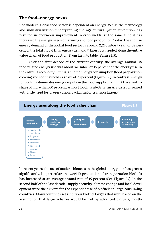### **The food–energy nexus**

The modern global food sector is dependent on energy. While the technology and industrialization underpinning the agricultural green revolution has resulted in enormous improvement in crop yields, at the same time it has increased the energy needs of farming and food production. Today, the end-use energy demand of the global food sector is around 2,270 mtoe / year, or 32 percent of the total global final energy demand.26 Energy is needed along the entire value chain of food production, from farm to table (Figure I.5).

Over the first decade of the current century, the average annual US food-related energy use was about 378 mtoe, or 15 percent of the energy use in the entire US economy. Of this, at-home energy consumption (food preparation, cooking and cooling) holds a share of 28 percent (Figure I.6). In contrast, energy for cooking dominates energy inputs in the food supply chain in Africa, with a share of more than 60 percent, as most food in sub-Saharan Africa is consumed with little need for preservation, packaging or transportation.<sup>27</sup>



In recent years, the use of modern biomass in the global energy mix has grown significantly. In particular, the world's production of transportation biofuels has increased at an average annual rate of 15 percent (See Figure I.7). In the second half of the last decade, supply security, climate change and local development were the drivers for the expanded use of biofuels in large consuming countries. Many countries set ambitious biofuel targets that were based on the assumption that large volumes would be met by advanced biofuels, mostly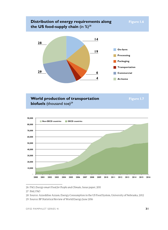



<sup>26</sup> FAO, *Energy-smart Food for People and Climate*, Issue paper, 2011

28 Source: Azzeddine Azzam, Energy Consumption in the US Food System, University of Nebraska, 2012

<sup>27</sup> Ibid, FAO

<sup>29</sup> Source: BP Statistical Review of World Energy June 2016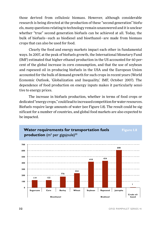those derived from cellulosic biomass. However, although considerable research is being directed at the production of these "second generation" biofuels, many questions relating to technology remain unanswered and it is unclear whether "true" second generation biofuels can be achieved at all. Today, the bulk of biofuels—such as biodiesel and bioethanol—are made from biomass crops that can also be used for food.

Clearly the food and energy markets impact each other in fundamental ways. In 2007, at the peak of biofuels growth, the International Monetary Fund (IMF) estimated that higher ethanol production in the US accounted for 60 percent of the global increase in corn consumption, and that the use of soybean and rapeseed oil in producing biofuels in the USA and the European Union accounted for the bulk of demand growth for such crops in recent years (World Economic Outlook, 'Globalization and Inequality,' IMF, October 2007). The dependence of food production on energy inputs makes it particularly sensitive to energy prices.

The increase in biofuels production, whether in terms of food crops or dedicated "energy crops," could lead to increased competition for water resources. Biofuels require large amounts of water (see Figure I.8). The result could be significant for a number of countries, and global food markets are also expected to be impacted.



**32** OFID PAMPHLET SERIES 41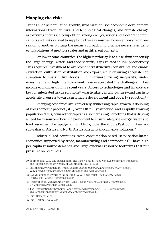### **Mapping the risks**

Trends such as population growth, urbanization, socioeconomic development, international trade, cultural and technological changes, and climate change, are driving increased competition among energy, water and food.31 The implications and risks related to supplying these resources, however, vary from one region to another. Putting the nexus approach into practice necessitates delivering solutions at multiple scales and in different contexts.

For low-income countries, the highest priority is to close simultaneously the large energy-, water- and food-security gaps related to low productivity. This requires investment to overcome infrastructural constraints and enable extraction, cultivation, distribution and export, while ensuring adequate consumption to sustain livelihoods.<sup>32</sup> Furthermore, rising inequality, underinvestment and high unemployment have exacerbated the challenges in lowincome economies during recent years. Access to technologies and finance are key for integrated nexus solutions<sup>33</sup>–particularly in agriculture–and can help accelerate progress toward sustainable development and poverty reduction.34

Emerging economies are, conversely, witnessing rapid growth, a doubling of gross domestic product (GDP) over a 10 to 15 year period, and a rapidly growing population. Thus, demand per capita is also increasing; something that is driving a need for resource-efficient development to ensure adequate energy, water and food resources. The rapid growth in China, India, the Middle East, South America, sub-Saharan Africa and North Africa puts at risk local nexus solutions.<sup>35</sup>

Industrialized countries—with consumption-based, service-dominated economies supported by trade, manufacturing and commodities<sup>36</sup>—have high per capita resource demands and large external resource footprints that put pressure on resources.

<sup>30</sup> Sources: Ibid, WEC and Susan Bolton, The Water–Energy–Food Nexus, School of Environmental and Forest Sciences, University of Washington, Seattle, 2012

<sup>31</sup> Stockholm Environment Institute , *Climate Change, Water and Energy in the MENA Region: Why a 'Nexus' Approach is Crucial for Mitigation and Adaptation*, 2012

<sup>32</sup> SABMiller and the World Wildlife Fund ( WWF), *The Water–Food–Energy Nexus: Insights into Resilient Development*, 2014

<sup>33</sup> Holger H. et al., *Managing the Water–Land–Energy Nexus for Sustainable Development*, UN Chronicle, ProQuest Central, 2012

<sup>34</sup> The Organisation for Economic Cooperation and Development (OECD), *Green Growth and Developing Countries: A Summary for Policy Makers*, 2012

<sup>35</sup> Ibid., Holger H. et al.

<sup>36</sup> Ibid., SABMiller & WWF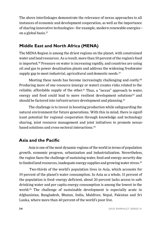The above interlinkages demonstrate the relevance of nexus approaches to all instances of economic and development cooperation, as well as the importance of sharing innovative technologies—for example, modern renewable energies on a global basis.37

### **Middle East and North Africa (MENA)**

The MENA Region is among the driest regions on the planet, with constrained water and land resources. As a result, more than 50 percent of the region's food is imported.38 Pressure on water is increasing rapidly, and countries are using oil and gas to power desalination plants and address the widening freshwater supply gap to meet industrial, agricultural and domestic needs.<sup>39</sup>

Meeting these needs has become increasingly challenging and costly.<sup>40</sup> Producing more of one resource (energy or water) creates risks related to the reliable, affordable supply of the other.<sup>41</sup> Thus, a "nexus" approach to water, energy and food could lead to more resilient development solutions<sup>42</sup> and should be factored into infrastructure development and planning.<sup>43</sup>

The challenge is to invest in boosting production while safeguarding the natural environment for future generations. With this in mind, there is significant potential for regional cooperation through knowledge and technology sharing, joint resource management and joint initiatives to promote nexusbased solutions and cross-sectoral interactions.44

### **Asia and the Pacific**

Asia is one of the most dynamic regions of the world in terms of population growth, economic progress, urbanization and industrialization. Nevertheless, the region faces the challenge of sustaining water, food and energy security due to limited land resources, inadequate energy supplies and growing water stress.45

Two-thirds of the world's population lives in Asia, which accounts for 59 percent of the planet's water consumption. In Asia as a whole, 51 percent of the population is food–energy deficient, about 20 percent lacks access to safe drinking water and per capita energy consumption is among the lowest in the world.46 The challenge of sustainable development is especially acute in Afghanistan, Bangladesh, Bhutan, India, Maldives, Nepal, Pakistan and Sri Lanka, where more than 40 percent of the world's poor live.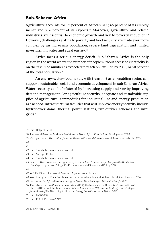#### **Sub-Saharan Africa**

Agriculture accounts for 32 percent of Africa's GDP, 65 percent of its employment<sup>47</sup> and 33.6 percent of its exports.<sup>48</sup> Moreover, agriculture and related industries are essential to economic growth and key to poverty reduction.49 However, challenges relating to poverty and food security are made ever more complex by an increasing population, severe land degradation and limited investment in water and rural energy.50

Africa faces a serious energy deficit. Sub-Saharan Africa is the only region in the world where the number of people without access to electricity is on the rise. The number is expected to reach 660 million by 2030, or 50 percent of the total population.<sup>51</sup>

An energy–water–food nexus, with transport as an enabling sector, can support sustainable social and economic development in sub-Saharan Africa. Water security can be bolstered by increasing supply and / or by improving demand management. For agriculture security, adequate and sustainable supplies of agricultural commodities for industrial use and energy production are needed. Infrastructural facilities that will improve energy security include hydropower dams, thermal power stations, run-of-river schemes and minigrids.52

<sup>37</sup> Ibid., Holger H. et al.

<sup>38</sup> The World Bank (WB), *Middle East & North Africa: Agriculture & Rural Development*, 2008

<sup>39</sup> Metzger E. et al., *Water–Energy Nexus: Business Risks and Rewards*, World Resources Institute, 2015 40 Id.

<sup>41</sup> Id.

<sup>42</sup> Ibid., Stockholm Environment Institute

<sup>43</sup> Ibid., Metzger E. et al.

<sup>44</sup> Ibid., Stockholm Environment Institute

<sup>45</sup> Rasul G., *Food, water and energy security in South Asia: A nexus perspective from the Hindu Kush Himalayan region*, Vol., 39, pp.35–48, Environmental Science and Policy, 2014

<sup>46</sup> Id.

<sup>47</sup> WB, Fact Sheet: The World Bank and Agriculture in Africa

<sup>48</sup> World Integrated Trade Solutions, Sub-Saharan Africa Trade at a Glance: Most Recent Values, 2014

<sup>49</sup> FAO, *Water for Agriculture and Energy in Africa: The Challenges of Climate Change*, 2008

<sup>50</sup> The Infrastructure Consortium for Africa (ICA), the International Union for Conservation of Nature (IUCN) and the International Water Association (IWA), *Nexus Trade-offs and Strategies for Addressing the Water, Agriculture and Energy Security Nexus in Africa*, 2015

<sup>51</sup> Ibid., FAO (2008)

<sup>52</sup> Ibid., ICA, IUCN, IWA (2015)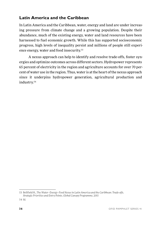## **Latin America and the Caribbean**

In Latin America and the Caribbean, water, energy and land are under increasing pressure from climate change and a growing population. Despite their abundance, much of the existing energy, water and land resources have been harnessed to fuel economic growth. While this has supported socioeconomic progress, high levels of inequality persist and millions of people still experience energy, water and food insecurity.53

A nexus approach can help to identify and resolve trade-offs, foster synergies and optimize outcomes across different sectors. Hydropower represents 65 percent of electricity in the region and agriculture accounts for over 70 percent of water use in the region. Thus, water is at the heart of the nexus approach since it underpins hydropower generation, agricultural production and industry.54

<sup>53</sup> Bellfield H., *The Water–Energy–Food Nexus in Latin America and the Caribbean: Trade-offs, Strategic Priorities and Entry Points, Global Canopy Programme*, 2015

<sup>54</sup> Id.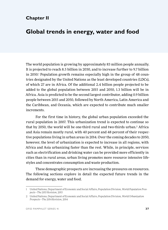## **Chapter II**

# **Global trends in energy, water and food**

The world population is growing by approximately 83 million people annually. It is projected to reach 8.5 billion in 2030, and to increase further to 9.7 billion in 2050.1 Population growth remains especially high in the group of 48 countries designated by the United Nations as the least developed countries (LDCs), of which 27 are in Africa. Of the additional 2.4 billion people projected to be added to the global population between 2015 and 2050, 1.3 billion will be in Africa. Asia is predicted to be the second largest contributor, adding 0.9 billion people between 2015 and 2050, followed by North America, Latin America and the Caribbean, and Oceania, which are expected to contribute much smaller increments.

For the first time in history, the global urban population exceeded the rural population in 2007. This urbanization trend is expected to continue so that by 2050, the world will be one-third rural and two-thirds urban.<sup>2</sup> Africa and Asia remain mostly rural, with 40 percent and 48 percent of their respective populations living in urban areas in 2014. Over the coming decades to 2050, however, the level of urbanization is expected to increase in all regions, with Africa and Asia urbanizing faster than the rest. While, in principle, services such as electrification and drinking water can be provided more efficiently in cities than in rural areas, urban living promotes more resource intensive lifestyles and concentrates consumption and waste production.

These demographic prospects are increasing the pressures on resources. The following sections explore in detail the expected future trends in the demand for energy, water and food.

<sup>1</sup> United Nations, Department of Economic and Social Affairs, Population Division, *World Population Prospects—The 2015 Revision*, 2015

<sup>2</sup> United Nations, Department of Economic and Social Affairs, Population Division, *World Urbanization Prospects—The 2014 Revision*, 2014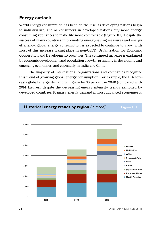## **Energy outlook**

World energy consumption has been on the rise, as developing nations begin to industrialize, and as consumers in developed nations buy more energyconsuming appliances to make life more comfortable (Figure II.1). Despite the success of many countries in promoting energy-saving measures and energy efficiency, global energy consumption is expected to continue to grow, with most of this increase taking place in non-OECD (Organization for Economic Cooperation and Development) countries. The continued increase is explained by economic development and population growth, primarily in developing and emerging economies, and especially in India and China.

The majority of international organizations and companies recognize this trend of growing global energy consumption. For example, the IEA forecasts global energy demand will grow by 30 percent in 2040 (compared with 2014 figures), despite the decreasing energy intensity trends exhibited by developed countries. Primary energy demand in most advanced economies is

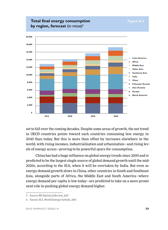**Total final energy consumption** Figure II.2



set to fall over the coming decades. Despite some areas of growth, the net trend in OECD countries points toward such countries consuming less energy in 2040 than today. But this is more than offset by increases elsewhere in the world, with rising incomes, industrialization and urbanization—and rising levels of energy access—proving to be powerful spurs for consumption.

China has had a huge influence on global energy trends since 2000 and is predicted to be the largest single source of global demand growth until the mid-2020s, according to the IEA, when it will be overtaken by India. But even as energy demand growth slows in China, other countries in South and Southeast Asia, alongside parts of Africa, the Middle East and South America—where energy demand per capita is low today—are predicted to take on a more prominent role in pushing global energy demand higher.

<sup>3</sup> Source: BP, Statistical Review, 2017

<sup>4</sup> Source: IEA, World Energy Outlook, 2016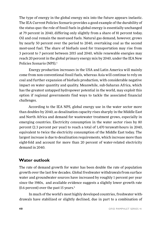The type of energy in the global energy mix into the future appears inelastic. The IEA Current Policies Scenario provides a good example of the durability of the status quo: the role of fossil fuels in global energy is essentially unchanged at 79 percent in 2040, differing only slightly from a share of 81 percent today. Oil and coal remain the most-used fuels. Natural gas demand, however, grows by nearly 50 percent over the period to 2040, overtaking coal as the second most-used fuel. The share of biofuels used for transportation may rise from 3 percent to 7 percent between 2015 and 2040, while renewable energies may reach 20 percent in the global primary energy mix by 2040, under the IEA New Policies Scenario (NPS).<sup>5</sup>

Energy production increases in the USA and Latin America will mainly come from non-conventional fossil fuels, whereas Asia will continue to rely on coal and further expansion of biofuels production, with considerable negative impact on water quantity and quality. Meanwhile, sub-Saharan Africa, which has the greatest untapped hydropower potential in the world, may exploit this option if regional governments find ways to tackle the associated financial challenges.

According to the IEA NPS, global energy use in the water sector more than doubles by 2040, as desalination capacity rises sharply in the Middle East and North Africa and demand for wastewater treatment grows, especially in emerging countries. Electricity consumption in the water sector rises by 80 percent (2.3 percent per year) to reach a total of 1,470 terawatt-hours in 2040, equivalent to twice the electricity consumption of the Middle East today. The largest increase is due to desalination requirements, which increase more than eight-fold and account for more than 20 percent of water-related electricity demand in 2040.

#### **Water outlook**

The rate of demand growth for water has been double the rate of population growth over the last few decades. Global freshwater withdrawals. from surface water and groundwater sources have increased by roughly 1 percent per year since the 1980s, and available evidence suggests a slightly lower growth rate (0.6 percent) over the past 15 years. $6$ 

In much of the world's most highly developed countries, freshwater withdrawals have stabilized or slightly declined, due in part to a combination of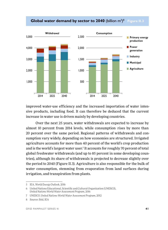#### **Global water demand by sector to 2040** (billion m<sup>3</sup>)<sup>8</sup> Figure II.3



improved water-use efficiency and the increased importation of water intensive products, including food. It can therefore be deduced that the current increase in water use is driven mainly by developing countries.

Over the next 25 years, water withdrawals are expected to increase by almost 10 percent from 2014 levels, while consumption. rises by more than 20 percent over the same period. Regional patterns of withdrawals and consumption vary widely, depending on how economies are structured. Irrigated agriculture accounts for more than 40 percent of the world's crop production and is the world's largest water user.7 It accounts for roughly 70 percent of total global freshwater withdrawals (and up to 85 percent in some developing countries), although its share of withdrawals is projected to decrease slightly over the period to 2040 (Figure II.3). Agriculture is also responsible for the bulk of water consumption, stemming from evaporation from land surfaces during irrigation, and transpiration from plants.

<sup>5</sup> IEA, *World Energy Outlook*, 2016

<sup>6</sup> United Nations Educational, Scientific and Cultural Organization (UNESCO), *United Nations World Water Assessment Program*, 2016

<sup>7</sup> UNESCO, *United Nations World Water Assessment Program*, 2012

<sup>8</sup> Source: Ibid, IEA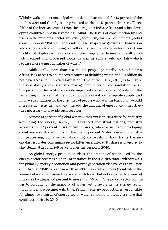Withdrawals to meet municipal water demand accounted for 13 percent of the total in 2014 and this figure is projected to rise to 17 percent in 2040. Threefifths of the increase comes from three regions: India, Africa and other developing countries in Asia (excluding China). The levels of consumption by endusers in the municipal sector are lower, accounting for 5 percent of total global consumption in 2014. Future trends will be shaped by growing urbanization and rising standards of living, as well as changes in dietary preferences—from traditional staples such as roots and tuber vegetables to meat and milk products, refined and processed foods, as well as sugars, oils and fats—which require increasing quantities of water.9

Additionally, more than 650 million people, primarily in sub-Saharan Africa, lack access to an improved source of drinking water, and 2.4 billion do not have access to improved sanitation.10 One of the SDGs (SDG 6) is to ensure the availability and sustainable management of water and sanitation for all. The pursuit of this goal—to provide improved access to drinking water for the remaining 10 percent of the global population without adequate supply and improved sanitation for the one-third of people who lack this basic right—could increase domestic demand and thereby the amount of energy and infrastructure necessary to provide such services.

Almost 10 percent of global water withdrawals in 2014 were for industry (excluding the energy sector). In advanced industrial nations, industry accounts for 12 percent of water withdrawals, whereas in many developing countries, industry accounts for less than 8 percent. Water is used in industry for processing, but also for fabricating and washing. Industry is the second-largest water-consuming sector (after agriculture). Its share is projected to stay steady at around 8-9 percent over the period to 2040.<sup>11</sup>

As global energy production rises, the amount of water used by the energy sector becomes higher. For instance, in the IEA NPS, water withdrawals for primary energy production and power generation rise by less than 2 percent through 2040 to reach more than 400 billion cubic meters (bcm), while the amount of water consumed (i.e. water withdrawn but not returned to a source) increases by almost 60 percent to more than 75 bcm. The power sector continues to account for the majority of water withdrawals in the energy sector, though its share declines with time. Primary energy production is responsible for almost two-thirds of energy sector water consumption today; a share that continues to rise to 2040.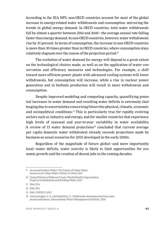According to the IEA NPS, non-OECD countries account for most of the global increase in energy-related water withdrawals and consumption, mirroring the trends in global energy demand. In OECD countries, total water withdrawals fall by almost a quarter between 2014 and 2040—the average annual rate falling faster than energy demand. In non-OECD countries, however, water withdrawals rise by 35 percent. In terms of consumption, the increase in non-OECD countries is more than 30-times greater than in OECD countries, where consumption stays relatively stagnant over the course of the projection period.12

The evolution of water demand for energy will depend to a great extent on the technological choices made, as well as on the application of water conservation and efficiency measures and technologies. For example, a shift toward more efficient power plants with advanced cooling systems will lower withdrawals, but consumption will increase, while a rise in nuclear power generation and in biofuels production will result in more withdrawals and consumption.

Despite improved modeling and computing capacity, quantifying potential increases in water demand and resulting water deficits is extremely challenging due to uncertainties concerning future bio-physical, climatic, economic and sociopolitical conditions.13 This is particularly true for rapidly evolving sectors such as industry and energy, and for smaller countries that experience high levels of seasonal and year-to-year variability in water availability. A review of 13 water demand projections $14$  concluded that current average per capita domestic water withdrawal already exceeds projections made by business-as-usual scenarios for 2025 developed in the early 2000s.

Regardless of the magnitude of future global—and more importantly local—water deficits, water scarcity is likely to limit opportunities for economic growth and the creation of decent jobs in the coming decades.

<sup>9</sup> Arup and Sydney Water, *The Future of Urban Water: Scenarios for Urban Water Utilities in 2040*, 2015

<sup>10</sup> United Nations Children's Fund / World Health Organization, *Progress on Sanitation and drinking Water*, 2015

<sup>11</sup> Ibid, IEA

<sup>12</sup> Ibid, IEA

<sup>13</sup> Ibid, UNESCO, 2012

<sup>14</sup> Amarasinghe, U. A. and Smakhtin, V., *Global water demand projections: past, present and future*, International Water Management Institute, 2014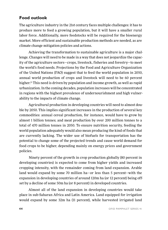## **Food outlook**

The agriculture industry in the 21st century faces multiple challenges: it has to produce more to feed a growing population, but it will have a smaller rural labor force. Additionally, more feedstocks will be required for the bioenergy market. More efficient and sustainable production methods are needed, as are climate change mitigation policies and actions.

Achieving the transformation to sustainable agriculture is a major challenge. Changes will need to be made in a way that does not jeopardize the capacity of the agriculture sectors—crops, livestock, fisheries and forestry—to meet the world's food needs. Projections by the Food and Agriculture Organization of the United Nations (FAO) suggest that to feed the world population in 2050, annual world production of crops and livestock will need to be 60 percent higher.15 This need is driven by population and income growth, as well as rapid urbanization. In the coming decades, population increases will be concentrated in regions with the highest prevalence of undernourishment and high vulnerability to the impacts of climate change.

Agricultural production in developing countries will need to almost double by 2050. This implies significant increases in the production of several key commodities: annual cereal production, for instance, would have to grow by almost 1 billion tonnes; and meat production by over 200 million tonnes to a total of 470 million tonnes in 2050. To ensure nutrition security, feeding the world population adequately would also mean producing the kind of foods that are currently lacking. The wider use of biofuels for transportation has the potential to change some of the projected trends and cause world demand for food crops to be higher, depending mainly on energy prices and government policies.

Ninety percent of the growth in crop production globally (80 percent in developing countries) is expected to come from higher yields and increased cropping intensity, with the remainder coming from land expansion. Arable land would expand by some 70 million ha—or less than 5 percent—with the expansion in developing countries of around 120m ha (or 12 percent) being offset by a decline of some 50m ha (or 8 percent) in developed countries.

Almost all of the land expansion in developing countries would take place in sub-Saharan Africa and Latin America. Land equipped for irrigation would expand by some 32m ha (11 percent), while harvested irrigated land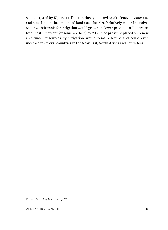would expand by 17 percent. Due to a slowly improving efficiency in water use and a decline in the amount of land used for rice (relatively water intensive), water withdrawals for irrigation would grow at a slower pace, but still increase by almost 11 percent (or some 286 bcm) by 2050. The pressure placed on renewable water resources by irrigation would remain severe and could even increase in several countries in the Near East, North Africa and South Asia.

<sup>15</sup> FAO,*The State of Food Security*, 2015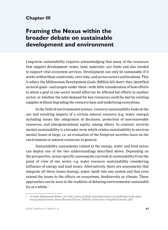## **Chapter III**

# **Framing the Nexus within the broader debate on sustainable development and environment**

Long-term sustainability requires acknowledging that many of the resources that support development—water, land, materials—are finite and also needed to support vital ecosystem services. Development can only be sustainable if it works within those constraints, over time, and across sectors and locations. This is where the Millennium Development Goals (MDGs) fell short: they identified sectoral goals—and targets under them—with little consideration of how efforts to attain a goal in one sector would affect (or be affected by) efforts in another sector; or whether the total demand for key resources could be met by existing supplies without degrading the resource base and underlying ecosystems.

In the field of environmental science, resource sustainability looks at the use and resulting impacts of a certain natural resource (e.g. water, energy), including issues like integration of decisions, protection of non-renewable resources, and intergenerational equity, among others. In contrast, environmental sustainability is a broader term which relates sustainability to environmental issues at large, i.e. an evaluation of the footprint societies leave on the environment or natural resources in general.

Sustainability assessments related to the energy, water and food nexus can deploy one of the two understandings described above. Depending on the perspective, nexus-specific assessments can look at sustainability from the point of view of one sector, e.g. water resource sustainability considering influence of energy and land issues. Alternatively, there are assessments that integrate all three issues (energy, water, land) into one system and that even extend the issues to the effects on ecosystems, biodiversity or climate. These approaches can be seen in the tradition of debating environmental sustainability as a whole. 1

<sup>1</sup> Al-Saidi, Mohammad, Ribbe, Lars (Eds.), *Nexus Outlook: assessing resource use challenges in the water, energy and food nexus*, Nexus Research Focus, TH-Köln, University of Applied Sciences, 2017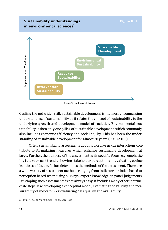#### **Sustainability understandings** Figure III.1 **in environmental sciences<sup>2</sup>**



Casting the net wider still, sustainable development is the most encompassing understanding of sustainability as it relates the concept of sustainability to the underlying growth and development model of societies. Environmental sustainability is then only one pillar of sustainable development, which commonly also includes economic efficiency and social equity. This has been the understanding of sustainable development for almost 30 years (Figure III.1).

Often, sustainability assessments about topics like nexus interactions contribute to formulating measures which enhance sustainable development at large. Further, the purpose of the assessment is its specific focus, e.g. emphasizing future or past trends, showing stakeholder perceptions or evaluating ecological thresholds, etc. It thus determines the methods of the assessment. There are a wide variety of assessment methods ranging from indicator- or index-based to perception-based when using surveys, expert knowledge or panel judgements. Developing such assessments is not always easy. It includes many other intermediate steps, like developing a conceptual model, evaluating the validity and measurability of indicators, or evaluating data quality and availability.

<sup>2</sup> Ibid, Al-Saidi, Mohammad, Ribbe, Lars (Eds.)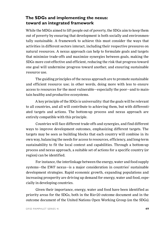## **The SDGs and implementing the nexus: toward an integrated framework**

While the MDGs aimed to lift people out of poverty, the SDGs aim to keep them out of poverty by ensuring that development is both socially and environmentally sustainable. A framework to achieve this must consider the ways that activities in different sectors interact, including their respective pressures on natural resources. A nexus approach can help to formulate goals and targets that minimize trade-offs and maximize synergies between goals, making the SDGs more cost-effective and efficient, reducing the risk that progress toward one goal will undermine progress toward another, and ensuring sustainable resource use.

The guiding principles of the nexus approach are to promote sustainable and efficient resource use; in other words, doing more with less to ensure access to resources for the most vulnerable—especially the poor—and to maintain healthy and productive ecosystems.

A key principle of the SDGs is universality: that the goals will be relevant to all countries, and all will contribute to achieving them, but with differentiated targets and actions. The bottom-up process and nexus approach are entirely compatible with this principle.

Countries will face different trade-offs and synergies, and find different ways to improve development outcomes, emphasizing different targets. The targets may be seen as building blocks that each country will combine in its own way, balancing the needs for access to resources, efficiency, and long-term sustainability to fit the local context and capabilities. Through a bottom-up process and nexus approach, a suitable set of actions for a specific country (or region) can be identified.

For instance, the interlinkage between the energy, water and food supply systems—the EWF nexus—is a major consideration in countries' sustainable development strategies. Rapid economic growth, expanding populations and increasing prosperity are driving up demand for energy, water and food, especially in developing countries.

Given their importance, energy, water and food have been identified as priority areas for the SDGs, both in the Rio+20 outcome document and in the outcome document of the United Nations Open Working Group (on the SDGs).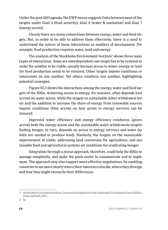Under the post-2015 agenda, the EWF-nexus suggests links between most of the targets under Goal 2 (food security), Goal 6 (water & sanitation) and Goal 7 (energy access).

Clearly there are many connections between energy, water and food targets. But, in order to be able to address them effectively, there is a need to understand the nature of those interactions as enablers of development. For example, food production requires water, land and energy.

The analysis of the Stockholm Environment Institute $^{\rm 3}$  shows three main types of interactions. Some are interdependent: one target has to be realized in order for another to be viable, usually because access to water, energy or land for food production needs to be ensured. Other targets impose conditions or constraints on one another. Yet others reinforce one another, highlighting potential synergies.

Figure III.2 shows the interactions among the energy, water and food targets of the SDGs. Achieving access to energy, for instance, often depends (red arrow) on water access, while the targets on sustainable water withdrawal levels and the ambition to increase the share of energy from renewable sources impose conditions (blue arrow) on how access to energy services can be ensured.

Improved water efficiency and energy efficiency reinforces (green arrow) both the energy access and the sustainable water withdrawals targets. Ending hunger, in turn, depends on access to energy services and water (as both are needed to produce food). Similarly, the targets on the sustainable improvement of yields, addressing land conversion for agriculture, and sustainable food and agricultural systems set conditions for eradicating hunger.

Integration through a nexus approach, therefore, could help the SDGs to manage complexity, and make the goals easier to communicate and to implement. The approach may also support more effective negotiations, by enabling countries to see more clearly where their interests coincide, where they diverge, and how they might reconcile their differences.

<sup>3</sup> Stockholm Environment Institute, *Cross-sectoral integration in the Sustainable Development Goals (SDGs): a nexus approach*, 2014.

<sup>4</sup> Id.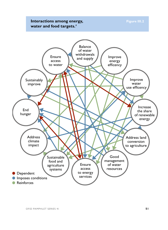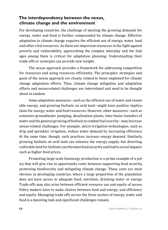## **The interdependency between the nexus, climate change and the environment**

For developing countries, the challenge of meeting the growing demands for energy, water and food is further compounded by climate change. Effective adaptation to climate change requires the efficient use of energy, water, land and other vital resources. As these are important resources in the fight against poverty and vulnerability, appreciating the complex interplay and the linkages among them is critical for adaptation planning. Understanding their trade-offs or synergies can provide new insight.

The nexus approach provides a framework for addressing competition for resources and using resources efficiently. The principles, strategies and goals of the nexus approach are closely related to those employed for climate change adaptation efforts. Thus, climate change mitigation and adaptation efforts and nexus-related challenges are interrelated and need to be thought about in tandem.

Some adaptation measures—such as the efficient use of water and renewable energy, and growing biofuels on arid land—might have positive implications for energy, water and food resources. However, other measures—such as extensive groundwater pumping, desalination plants, inter-basin transfers of water and the general growing of biofuels to combat fuel scarcity—may increase nexus-related challenges. For example, micro-irrigation technologies, such as drip and sprinkler irrigation, reduce water demand by increasing efficiency. At the same time, though, such practices increase energy demand. Similarly, growing biofuels on arid land can enhance the energy supply, but diverting cultivable land for biofuels can threaten food security and lead to social impacts such as higher food prices.

Promoting large-scale bioenergy production is a prime example of a policy that will give rise to opportunity costs: between supporting food security, protecting biodiversity and mitigating climate change. These costs are most obvious in developing countries, where a large proportion of the population does not have access to adequate food, nutrition, drinking water or energy. Trade-offs may also arise between efficient resource use and equity of access. Policy makers have to make choices between food and energy, and efficiency and equity. Managing trade-offs across the three sectors of energy, water and food is a daunting task and significant challenges remain.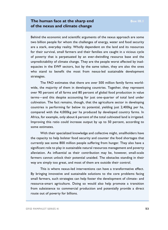#### **The human face at the sharp end Box III.1 of the nexus and climate change**

Behind the economic and scientific arguments of the nexus approach are some two billion people for whom the challenges of energy, water and food security are a stark, everyday reality. Wholly dependent on the land and its resources for their survival, small farmers and their families are caught in a vicious cycle of poverty that is perpetuated by an ever-dwindling resource base and the unpredictability of climate change. They are the people worst affected by inadequacies in the EWF sectors, but by the same token, they are also the ones who stand to benefit the most from nexus-led sustainable development strategies.

The FAO estimates that there are over 500 million family farms worldwide, the majority of them in developing countries. Together, they represent over 90 percent of all farms and 80 percent of global food production in value terms—and this despite accounting for just one-quarter of total land under cultivation. The fact remains, though, that the agriculture sector in developing countries is performing far below its potential, yielding just 2,400kg per ha, compared with the 4,000kg per ha produced by developed country farms. In Africa, for example, only about 6 percent of the total cultivated land is irrigated. Improving this ratio could increase output by up to 50 percent, according to some estimates.

With their specialized knowledge and collective might, smallholders have the capacity to help bolster food security and counter the food shortages that currently see some 800 million people suffering from hunger. They also have a significant role to play in sustainable natural resources management and poverty alleviation. As influential as their contribution may be, however, small-scale farmers cannot unlock their potential unaided. The obstacles standing in their way are simply too great, and most of them are outside their control.

This is where nexus-led interventions can have a transformative effect. By bringing innovative and sustainable solutions to the core problems facing small farmers, such strategies can help foster the development of climate- and resource-smart agriculture. Doing so would also help promote a transition from subsistence to commercial production and potentially provide a direct route out of poverty for billions.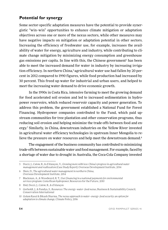## **Potential for synergy**

Some sector-specific adaptation measures have the potential to provide synergistic "win–win" opportunities to enhance climate mitigation or adaptation objectives across one or more of the nexus sectors, while other measures may have negative impacts on mitigation or adaptation potential in other sectors. Increasing the efficiency of freshwater use, for example, increases the availability of water for energy, agriculture and industry, while contributing to climate change mitigation by minimizing energy consumption and greenhouse gas emissions per capita. In line with this, the Chinese government<sup>s</sup> has been able to meet the increased demand for water in industry by increasing irrigation efficiency. In northern China,<sup>6</sup> agricultural water use had fallen by 20 percent in 2012 compared to 1990 figures, while food production had increased by 30 percent. This freed up water for industrial and urban users, and helped to meet the increasing water demand to drive economic growth.

In the 1990s in Costa Rica, intensive farming to meet the growing demand for food accelerated soil erosion and led to increased sedimentation in hydropower reservoirs, which reduced reservoir capacity and power generation. To address this problem, the government established a National Fund for Forest Financing. Hydropower companies contributed to the Fund, which paid upstream communities for tree plantation and other conservation programs, thus reducing soil erosion and helping minimize the trade-offs between food and energy.7 Similarly, in China, downstream industries on the Yellow River invested in agricultural water efficiency technologies in upstream Inner Mongolia to relieve the pressure on water resources and help meet the downstream demand.<sup>8</sup>

The engagement of the business community has contributed to minimizing trade-offs between sustainable water and food management. For example, faced by a shortage of water due to drought in Australia, the Coca-Cola Company invested

<sup>5</sup> Doczi, J., Calow, R., & d'Alançon, V., *Growing more with less: China's progress in agricultural water management and reallocation (Case Study Report)*, Overseas Development Institute, 2014

<sup>6</sup> Shen, D., *The agricultural water management in northern China*, Overseas Development Institute, 2014

<sup>7</sup> Blackman, A., & Woodward, R. T., *User financing in a national payments for environmental services program: Costa Rican hydropower*, Resources for the Future, 2010

<sup>8</sup> Ibid, Doczi, J., Calow, R., & d'Alançon

<sup>9</sup> Gerholdt, J., & Pandya, S., *Resources: The energy–water–food nexus*, Business & Sustainability Council, Conservation International

<sup>10</sup> Golam Rasul & Bikash Sharma, *The nexus approach to water–energy–food security: an option for adaptation to climate change*, Climate Policy, 2016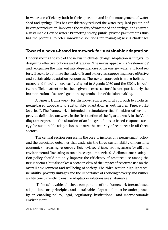in water-use efficiency both in their operation and in the management of watershed and springs. This has considerably reduced the water required per unit of beverage production, improved the quality of watershed and springs, and ensured a sustainable flow of water.<sup>9</sup> Promoting strong public-private partnerships thus has the potential to offer innovative solutions for managing nexus challenges.

#### **Toward a nexus-based framework for sustainable adaptation**

Understanding the role of the nexus in climate change adaptation is integral to designing effective policies and strategies. The nexus approach is "system-wide" and recognizes the inherent interdependencies of the energy, water and food sectors. It seeks to optimize the trade-offs and synergies, supporting more effective and sustainable adaptation responses. The nexus approach is more holistic in nature and thereby more easily aligned to Agenda 2030 and the SDGs. In reality, insufficient attention has been given to cross-sectoral issues, particularly the harmonization of sectoral goals and systemization of decision making.

A generic framework<sup>10</sup> for the move from a sectoral approach to a holistic nexus-based approach to sustainable adaptation is outlined in Figure III.3 (overleaf). The framework is intended to stimulate critical thinking rather than provide definitive answers. In the first section of the figure, area A in the Venn diagram represents the situation of an integrated nexus-based response strategy for sustainable adaptation to ensure the security of resources in all three sectors.

The central section represents the core principles of a nexus-smart policy and the associated outcomes that underpin the three sustainability dimensions: economic (increasing resource efficiency), social (accelerating access for all) and environmental (investing to sustain ecosystem services). A climate-smart adaptation policy should not only improve the efficiency of resource use among the nexus sectors, but also takes a broader view of the impact of resource use on the overall environment and wellbeing of society. The third section highlights vulnerability–poverty linkages and the importance of reducing poverty and vulnerability concurrently to ensure adaptation solutions are sustainable.

 To be achievable, all three components of the framework (nexus-based adaptation, core principles, and sustainable adaptation) must be underpinned by an enabling policy, legal, regulatory, institutional, and macroeconomic environment.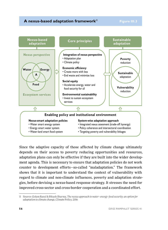#### **A nexus-based adaptation framework**<sup>11</sup> Figure III.3



Since the adaptive capacity of those affected by climate change ultimately depends on their access to poverty reducing opportunities and resources, adaptation plans can only be effective if they are built into the wider development agenda. This is necessary to ensure that adaptation policies do not work counter to development efforts—so-called "maladaptation." The framework shows that it is important to understand the context of vulnerability with regard to climate and non-climate influences, poverty and adaptation strategies, before devising a nexus-based response strategy. It stresses the need for improved cross-sector and cross-border cooperation and a coordinated effort.

<sup>11</sup> Source: Golam Rasul & Bikash Sharma, *The nexus approach to water–energy–food security: an option for adaptation to climate change*, Climate Policy, 2016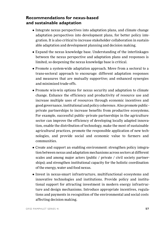#### **Recommendations for nexus-based and sustainable adaptation**

- Integrate nexus perspectives into adaptation plans, and climate change adaptation perspectives into development plans, for better policy integration. It is also critical to increase stakeholder collaboration in sustainable adaptation and development planning and decision making.
- Expand the nexus knowledge base. Understanding of the interlinkages between the nexus perspective and adaptation plans and responses is limited, so deepening the nexus knowledge base is critical.
- Promote a system-wide adaptation approach. Move from a sectoral to a trans-sectoral approach to encourage: different adaptation responses and measures that are mutually supportive; and enhanced synergies and minimized trade-offs.
- Promote win-win options for nexus security and adaptation to climate change. Enhance the efficiency and productivity of resource use and increase multiple uses of resources through economic incentives and good governance, institutional and policy coherence. Also promote public– private partnerships to increase benefits from productive ecosystems. For example, successful public–private partnerships in the agriculture sector can improve the efficiency of developing locally adapted innovation, enable the distribution of technology, make the most of sustainable agricultural practices, promote the responsible application of new technologies, and provide social and economic value to farmers and communities.
- Create and support an enabling environment: strengthen policy integration between nexus and adaptation mechanisms across sectors at different scales and among major actors (public / private / civil society partnerships); and strengthen institutional capacity for the holistic coordination of the energy, water and food nexus.
- Invest in nexus-smart infrastructure, multifunctional ecosystems and innovative technologies and institutions. Provide policy and institutional support for attracting investment in modern energy infrastructure and design mechanisms. Introduce appropriate incentives, regulations and payments in recognition of the environmental and social costs affecting decision making.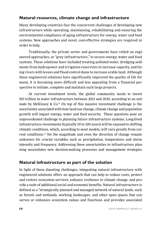## **Natural resources, climate change and infrastructure**

Many developing countries face the concurrent challenges of developing new infrastructure while operating, maintaining, rehabilitating and ensuring the environmental compliance of aging infrastructure for energy, water and food systems. New approaches and novel, cost-effective strategies are required in order to help.

Traditionally, the private sector and governments have relied on engineered approaches, or "gray infrastructure," to secure energy, water and food systems. These solutions have included treating polluted water, dredging sediments from hydropower and irrigation reservoirs to increase capacity, and lining rivers with levees and flood control dams to increase arable land. Although these engineered solutions have significantly improved the quality of life for many, it is becoming more difficult and less appealing from a financial perspective to initiate, complete and maintain such large projects.

At current investment levels, the global community needs to invest \$10 trillion in water infrastructure between 2013 and 2030, according to an estimate by McKinsey &  $Co^{12}$  On top of this massive investment challenge is the uncertainty associated with how land-use change, climate change and population growth will impact energy, water and food security. These questions pose an unprecedented challenge to planning future infrastructure systems. Long-lived infrastructure investments (typically 50 to 200 years) will be exposed to shifting climatic conditions, which, according to most models, will vary greatly from current conditions.13 Yet the magnitude and even the direction of change remain unknown for crucial variables such as precipitation, temperature and storm intensity and frequency. Addressing these uncertainties in infrastructure planning necessitates new decision-making processes and management strategies.

## **Natural infrastructure as part of the solution**

In light of these daunting challenges, integrating natural infrastructure with engineered solutions offers an approach that can help to reduce costs, protect and restore ecosystem services, enhance resilience to climate change, and provide a suite of additional social and economic benefits. Natural infrastructure is defined as a "strategically planned and managed network of natural lands, such as forests and wetlands, working landscapes, and other open spaces that conserves or enhances ecosystem values and functions and provides associated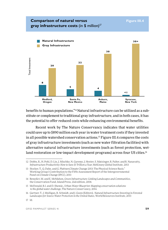#### **Comparison of natural versus Figure III.4 gray infrastructure costs (in \$ million)<sup>17</sup>**

#### **Natural Infrastructure 30+ Gray Infrastructure 30** Total Investmentotal Investment **22 20 8 5 4 <1 Medford, Santa Fe, Auburn, Syracuse, Oregon New Mexico Maine New York**

benefits to human populations."14 Natural infrastructure can be utilized as a substitute or complement to traditional gray infrastructure, and in both cases, it has the potential to offer reduced costs while enhancing environmental benefits.

Recent work by The Nature Conservancy indicates that water utilities could save up to \$890 million each year in water treatment costs if they invested in all possible watershed conservation actions.15 Figure III.4 compares the costs of gray infrastructure investments (such as new water filtration facilities) with alternative natural infrastructure investments (such as forest protection, wetland restoration or low-impact development programs) across four US cities.16

<sup>12</sup> Dobbs, R., H. Pohl, D. Lin, J. Mischke, N. Garemo, J. Hexter, S. Matzinger, R. Palter, and R. Nanavatty, *Infrastructure Productivity: How to Save \$1 Trillion a Year*, McKinsey Global Institute, 2013

<sup>13</sup> Stocker, T., Q. Dahe, and G. Plattner,Climate Change 2013: The Physical Science Basis." Working Group I Contribution to the Fifth Assessment Report of the Intergovernmental Panel on Climate Change (IPCC), 2013

<sup>14</sup> Benedict, M. and E. McMahon, *Green Infrastructure: Linking Landscapes and Communities*, the Conservation Fund, Island Press, 2nd edition, 2006

<sup>15</sup> McDonald, R.I. and D. Shemie,, *Urban Water Blueprint: Mapping conservation solutions to the global water challenge*, The Nature Conservancy, 2014.

<sup>16</sup> Gartner, T., J. Mulligan, R. Schmidt, and J. Gunn (Editors), *Natural Infrastructure Investing in Forested Landscapes for Source Water Protection in the United States*, World Resources Institute, 2013

<sup>17</sup> Id.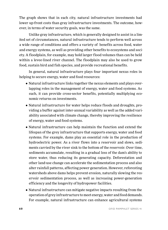The graph shows that in each city, natural infrastructure investments had lower up-front costs than gray infrastructure investments. The outcome, however, in terms of water security goals, was the same.

Unlike gray infrastructure, which is generally designed to assist in a limited set of circumstances, natural infrastructure tends to perform well across a wide range of conditions and offers a variety of benefits across food, water and energy systems, as well as providing other benefits to ecosystems and society. A floodplain, for example, may hold larger flood volumes than can be held within a levee-lined river channel. The floodplain may also be used to grow food, sustain bird and fish species, and provide recreational benefits.

In general, natural infrastructure plays four important nexus roles in helping to secure energy, water and food resources:

- Natural infrastructure links together the nexus elements and plays overlapping roles in the management of energy, water and food systems. As such, it can provide cross-sector benefits, potentially multiplying economic returns on investments.
- Natural infrastructure for water helps reduce floods and droughts, providing a buffer against inter-annual variability as well as the added variability associated with climate change, thereby improving the resilience of energy, water and food systems.
- Natural infrastructure can help maintain the function and extend the lifespan of the grey infrastructure that supports energy, water and food systems. For example, dams play an essential role in the production of hydroelectric power. As a river flows into a reservoir and slows, sediments carried by the river sink to the bottom of the reservoir. Over time, sediments accumulate, resulting in a gradual loss of the dam's ability to store water, thus reducing its generating capacity. Deforestation and other land-use change can accelerate the sedimentation process and also alter rainfall patterns, affecting power generation. However, reforesting watersheds above dams helps prevent erosion, naturally slowing the reservoir sedimentation process, as well as increasing power-generation efficiency and the longevity of hydropower facilities.
- Natural infrastructure can mitigate negative impacts resulting from the operation of grey infrastructure to meet energy, water and food demands. For example, natural infrastructure can enhance agricultural systems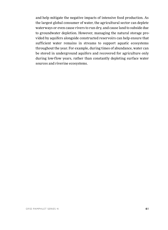and help mitigate the negative impacts of intensive food production. As the largest global consumer of water, the agricultural sector can deplete waterways or even cause rivers to run dry, and cause land to subside due to groundwater depletion. However, managing the natural storage provided by aquifers alongside constructed reservoirs can help ensure that sufficient water remains in streams to support aquatic ecosystems throughout the year. For example, during times of abundance, water can be stored in underground aquifers and recovered for agriculture only during low-flow years, rather than constantly depleting surface water sources and riverine ecosystems.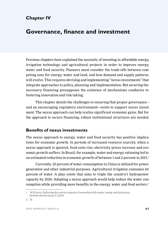## **Chapter IV**

# **Governance, finance and investment**

Previous chapters have explained the necessity of investing in affordable energy, irrigation technology and agricultural projects in order to improve energy, water and food security. Planners must consider the trade-offs between competing uses for energy, water and land, and how demand and supply patterns will evolve. This requires devising and implementing "nexus investments" that integrate approaches to policy, planning and implementation. But securing the necessary financing presupposes the existence of mechanisms conducive to fostering innovation and risk taking.

This chapter details the challenges to ensuring that proper governance and an encouraging regulatory environment—exists to support nexus investment. The nexus approach can help realize significant economic gains. But for the approach to secure financing, robust institutional structures are needed.

#### **Benefits of nexus investments**

The nexus approach to energy, water and food security has positive implications for economic growth. In periods of increased resource scarcity, when a nexus approach is ignored, food costs rise, electricity prices increase and economic growth suffers. In Brazil, for example, water and energy rationing led to an estimated reduction in economic growth of between 1 and 2 percent in 2015.1

Currently, 20 percent of water consumption in China is utilized for power generation and other industrial purposes. Agricultural irrigation consumes 60 percent of water. A plan exists that aims to triple the country's hydropower capacity by 2020. Adopting a nexus approach would help reduce the water consumption while providing more benefits in the energy, water and food sectors.<sup>2</sup>

<sup>1</sup> Will Sarni, *Deflecting the scarcity trajectory: Innovation at the water, energy, and food nexus*, Deloitte Review Issue 17, 20159

<sup>2</sup> Id.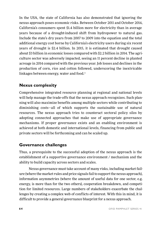In the USA, the state of California has also demonstrated that ignoring the nexus approach poses economic risks. Between October 2011 and October 2014, California's consumers spent \$1.4 billion more for electricity than in average years because of a drought-induced shift from hydropower to natural gas. Include the state's dry years from 2007 to 2009 into the equation and the total additional energy cost borne by California's electricity users during six recent years of drought is \$2.4 billion. In 2015, it is estimated that drought caused about \$3 billion in economic losses compared with \$2.2 billion in 2014. The agriculture sector was adversely impacted, seeing an 11 percent decline in planted acreage in 2014 compared with the previous year. Job losses and declines in the production of corn, rice and cotton followed, underscoring the inextricable linkages between energy, water and food.<sup>3</sup>

### **Nexus complexity**

Comprehensive integrated resource planning at regional and national levels will help manage the trade-offs that the nexus approach recognizes. Such planning will also maximize benefits among multiple sectors while contributing to diminishing costs—all of which supports the sustainable use of natural resources. The nexus approach tries to counteract sectoral policy silos by adopting connected approaches that make use of appropriate governance mechanisms. If proper governance exists and an enabling environment is achieved at both domestic and international levels, financing from public and private sectors will be forthcoming and can be scaled up.

#### **Governance challenges**

Thus, a prerequisite to the successful adoption of the nexus approach is the establishment of a supportive governance environment / mechanism and the ability to build capacity across sectors and scales.

Nexus governance must take account of many risks, including market failure (where the market rules and price signals fail to support the nexus approach), information asymmetries (where the amount of useful data for one sector, e.g. energy, is more than for the two others), cooperation breakdown, and competition for limited resources. Large numbers of stakeholders exacerbate the challenges by creating a complex web of conflicts of interest. With this in mind, it is difficult to provide a general governance blueprint for a nexus approach.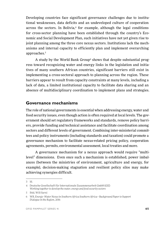Developing countries face significant governance challenges due to institutional weaknesses, data deficits and an undeveloped culture of cooperation across the sectors. In Bolivia, $4$  for example, although the legal conditions for cross-sector planning have been established through the country's Economic and Social Development Plan, such initiatives have not yet given rise to joint planning among the three core nexus sectors. Institutions lack the mechanisms and internal capacity to efficiently plan and implement overarching approaches.<sup>5</sup>

A study by the World Bank Group $^{\rm 6}$  shows that despite substantial progress toward recognizing water and energy links in the legislation and initiatives of many southern African countries, significant barriers still exist in implementing a cross-sectoral approach to planning across the region. These barriers appear to result from capacity constraints at many levels, including a lack of data, a limited institutional capacity to facilitate data sharing and an absence of multidisciplinary coordination to implement plans and strategies.

#### **Governance mechanisms**

The role of national governments is essential when addressing energy, water and food security issues, even though action is often required at local levels. The government should set regulatory frameworks and standards, remove policy barriers, provide funding and technical assistance and facilitate coordination among sectors and different levels of government. Combining inter-ministerial committees and policy instruments (including standards and taxation) could promote a governance mechanism to facilitate nexus-related pricing policy, cooperation agreements, permits, environmental assessment, local treaties and more.

A governance mechanism for a nexus approach would require "multilevel" dimensions. Even once such a mechanism is established, power imbalances (between the ministries of environment, agriculture and energy, for example), decision-making stagnation and resilient policy silos may make achieving synergies difficult.

<sup>3</sup> Id.

<sup>4</sup> Deutsche Gesellschaft für Internationale Zusammenarbeit GmbH (GIZ) *Working together to develop the water, energy and food security sectors*

<sup>5</sup> Ibid, Will Sarni

<sup>6</sup> WB, *Energy–Water Nexus in Southern Africa Southern Africa—Background Paper to Support Dialogue in the Region*, 2016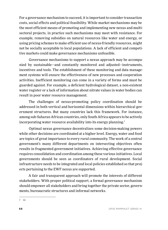For a governance mechanism to succeed, it is important to consider transaction costs, social effects and political feasibility. While market mechanisms may be the most efficient means of promoting and implementing new nexus and multisectoral projects, in practice such mechanisms may meet with resistance. For example, removing subsidies on natural resources like water and energy, or using pricing schemes to make efficient use of nexus-friendly resources, might not be socially acceptable to local populations. A lack of efficient and competitive markets could make governance mechanisms unfeasible.

Governance mechanisms to support a nexus approach may be accompanied by sustainable—and constantly monitored and adjusted—instruments, incentives and tools. The establishment of these monitoring and data management systems will ensure the effectiveness of new processes and cooperation activities. Inefficient monitoring can come in a variety of forms and must be guarded against. For example, a deficient hydrological dataset, a non-existent water register or a lack of information about nitrate values in water bodies can result in poor water resource management.

The challenges of nexus-promoting policy coordination should be addressed in both vertical and horizontal dimensions within hierarchical government structures. But many countries lack this framework. For instance, among sub-Saharan African countries, only South Africa appears to be actively incorporating water resource availability into its energy planning.<sup>7</sup>

Optimal nexus governance decentralizes some decision-making powers while other decisions are coordinated at a higher level. Energy, water and food are topics of great importance to every rural community. The work of a central government's many different departments on intersecting objectives often results in fragmented government initiatives. Achieving effective governance requires consolidation and coordination among these various initiatives. Local governments should be seen as coordinators of rural development. Social infrastructure needs to be integrated and local policies established so that projects pertaining to the EWF nexus are supported.

A fair and transparent approach will promote the interests of different stakeholders. With proper political support, a formal governance mechanism should empower all stakeholders and bring together the private sector, governments, bureaucratic structures and informal networks.

<sup>7</sup> Id.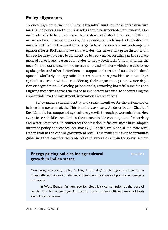#### **Policy alignments**

To encourage investment in "nexus-friendly" multi-purpose infrastructure, misaligned policies and other obstacles should be superseded or removed. One major obstacle to be overcome is the existence of distorted prices in different nexus sectors. In some countries, for example, subsidizing biofuels development is justified by the quest for energy independence and climate change mitigation efforts. Biofuels, however, are water intensive and a price distortion in this sector may give rise to an incentive to grow more, resulting in the replacement of forests and pastures in order to grow feedstock. This highlights the need for appropriate economic instruments and policies—which are able to recognize price and other distortions—to support balanced and sustainable development. Similarly, energy subsidies are sometimes provided to a country's agriculture sector without considering their impacts on groundwater depletion or degradation. Balancing price signals, removing harmful subsidies and aligning incentives across the three nexus sectors are vital to encouraging the appropriate level of investment, innovation and resources.

Policy makers should identify and create incentives for the private sector to invest in nexus projects. This is not always easy. As described in Chapter 1, Box I.2, India has supported agriculture growth through power subsidies. However, these subsidies resulted in the unsustainable consumption of electricity and water resources. To counteract the situation, different states have adopted different policy approaches (see Box IV.1). Policies are made at the state level, rather than at the central government level. This makes it easier to formulate guidelines that consider the trade-offs and synergies within the nexus sectors.

#### **Energy pricing policies for agricultural Energy Box IV.I growth in Indian states**

Comparing electricity policy (pricing / rationing) in the agriculture sector in three different states in India underlines the importance of politics in managing the nexus.

In West Bengal, farmers pay for electricity consumption at the cost of supply. This has encouraged farmers to become more efficient users of both electricity and water.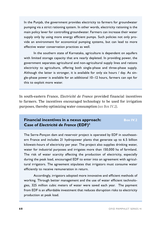In the Punjab, the government provides electricity to farmers for groundwater pumping via a strict rationing system. In other words, electricity rationing is the main policy lever for controlling groundwater. Farmers can increase their water supply only by using more energy efficient pumps. Such policies not only provide an environment for economical pumping systems, but can lead to more effective water conservation practices as well.

In the southern state of Karnataka, agriculture is dependent on aquifers with limited storage capacity that are nearly depleted. In providing power, the government separates agricultural and non-agricultural supply lines and rations electricity to agriculture, offering both single-phase and three-phase supply. Although the latter is stronger, it is available for only six hours / day. As single-phase power is available for an additional 10–12 hours, farmers can opt for this to exploit more water.

In south-eastern France, *Electricité de France* provided financial incentives to farmers. The incentives encouraged technology to be used for irrigation purposes, thereby optimizing water consumption *(see Box IV.2)*.

#### **Financial incentives in a nexus approach:** Box IV.2 **Case of** *Electricité de France* **(EDF)**<sup>8</sup>

The Serre-Ponçon dam and reservoir project is operated by EDF in southeastern France and includes 21 hydropower plants that generate up to 6.5 billion kilowatt-hours of electricity per year. The project also supplies drinking water, water for industrial purposes and irrigates more than 150,000 ha of farmland. The risk of water scarcity affecting the production of electricity, especially during the peak load, encouraged EDF to enter into an agreement with agricultural irrigators. The agreement stipulates that irrigators must consume water efficiently to receive remuneration in return.

Accordingly, irrigators adopted more innovative and efficient methods of working. Through better management and the use of water efficient technologies, 325 million cubic meters of water were saved each year. The payment from EDF is an affordable investment that reduces disruption risks to electricity production at peak load.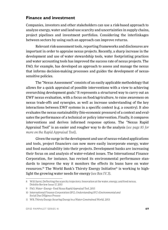#### **Finance and investment**

Companies, investors and other stakeholders can use a risk-based approach to analyze energy, water and land-use scarcity and uncertainties in supply chains, project pipelines and investment portfolios. Considering the interlinkages between sectors by using such an approach can improve returns.

Relevant risk-assessment tools, reporting frameworks and disclosures are important in order to appraise nexus projects. Recently, a sharp increase in the development and use of water stewardship tools, water footprinting practices and water accounting tools has improved the success rate of nexus projects. The FAO, for example, has developed an approach to assess and manage the nexus that informs decision-making processes and guides the development of nexussensitive policies.

The "Nexus Assessment" consists of an easily applicable methodology that allows for a quick appraisal of possible interventions with a view to achieving overarching development goals.<sup>9</sup> It represents a structured way to carry out an EWF nexus evaluation, with a focus on food/agriculture, to raise awareness on nexus trade-offs and synergies, as well as increase understanding of the key interactions between EWF systems in a specific context (e.g. a country). It also evaluates the nexus sustainability (bio-economic pressure) of a context and evaluates the performance of a technical or policy intervention. Finally, it compares interventions and derives informed response options. The "Nexus Rapid Appraisal Tool" is an easier and rougher way to do the analysis *(see page 85 for more on the Rapid Appraisal Tool)*.

Given the surge in the development and use of nexus-related applications and tools, project financiers can now more easily incorporate energy, water and food sustainability into their projects. Development banks are increasing their focus on and analysis of water-related issues. The International Finance Corporation, for instance, has revised its environmental performance standards to improve the way it monitors the effects its loans have on water resources.<sup>10</sup> The World Bank's Thirsty Energy Initiative<sup>11</sup> is working to highlight the growing water needs for energy *(see Box IV.3)*.

<sup>8</sup> Will Sarni, Deflecting the scarcity trajectory: Innovation at the water, energy, and food nexus, Deloitte Review Issue 17, 2015

<sup>9</sup> FAO, *Water–Energy–Food Nexus Rapid Appraisal Tool*, 2015

<sup>10</sup> International Finance Corporation (IFC), *Understanding IFC's Environmental and Social Due Diligence Process*

<sup>11</sup> WB, *Thirsty Energy: Securing Energy in a Water-Constrained World,* 2013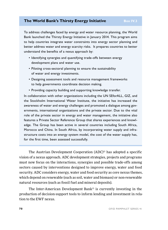#### **The World Bank's Thirsty Energy Initiative Box IV.3**

To address challenges faced by energy and water resource planning, the World Bank launched the Thirsty Energy Initiative in January 2014. This program aims to help countries integrate water constraints into energy sector planning and better address water and energy scarcity risks. It prepares countries to better understand the benefits of a nexus approach by:

- Identifying synergies and quantifying trade-offs between energy development plans and water use.
- Piloting cross-sectoral planning to ensure the sustainability of water and energy investments.
- Designing assessment tools and resource management frameworks to help governments coordinate decision making.
- Providing capacity building and supporting knowledge transfer.

In collaboration with other organizations including the UN SEforALL, GIZ, and the Stockholm International Water Institute, the initiative has increased the awareness of water and energy challenges and promoted a dialogue among governments, international organizations and the private sector. Due to the vital role of the private sector in energy and water management, the initiative also features a Private Sector Reference Group that shares experiences and knowledge. The Group has been active in several countries including South Africa, Morocco and China. In South Africa, by incorporating water supply and infrastructure costs into an energy system model, the cost of the water supply has, for the first time, been assessed successfully.

The Austrian Development Cooperation (ADC)<sup>12</sup> has adopted a specific vision of a nexus approach. ADC development strategies, projects and programs must now focus on the interactions, synergies and possible trade-offs among sectors caused by interventions designed to improve energy, water and food security. ADC considers energy, water and food security as core nexus themes, which depend on renewable (such as soil, water and biomass) or non-renewable natural resources (such as fossil fuel and mineral deposits).

The Inter-American Development Bank<sup>13</sup> is currently investing in the production of decision-support tools to inform lending and investment in relation to the EWF nexus.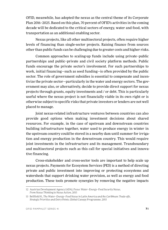OFID, meanwhile, has adopted the nexus as the central theme of its Corporate Plan 2016–2025. Based on this plan, 70 percent of OFID's activities in the coming decade will be dedicated to the critical sectors of energy, water and food, with transportation as an additional enabling sector.

Nexus projects, like all other multisectoral projects, often require higher levels of financing than single-sector projects. Raising finance from sources other than public funds can be challenging due to greater costs and higher risks.

Common approaches to scaling-up funds include using private–public partnerships and public–private and civil society platform methods. Public funds encourage the private sector's involvement. For such partnerships to work, initial financing—such as seed funding—is often provided by the public sector. The role of government subsidies is essential to compensate and incentivize the private sector—particularly in the water and energy sectors. The government may also, or alternatively, decide to provide direct support for nexus projects through grants, equity investments and / or debt. This is particularly useful where the nexus project is not financially viable in its own right or is otherwise subject to specific risks that private investors or lenders are not well placed to manage.

Joint nexus-related infrastructure ventures between countries can also provide good options when making investment decisions about shared resources. For example, in the case of upstream and downstream countries building infrastructure together, water used to produce energy in winter in the upstream country could be stored in a nearby dam until summer for irrigation and energy production in the downstream country. This would require joint investments in the infrastructure and its management. Transboundary and multisectoral projects such as this call for special initiatives and innovative financing.

Cross-stakeholder and cross-sector tools are important to help scale up nexus projects. Payments for Ecosystem Services (PES) is a method of directing private and public investment into improving or protecting ecosystems and watersheds that support drinking water provision, as well as energy and food production. These tools promote synergies by removing the negative impacts

<sup>12</sup> Austrian Development Agency (ADA), *Focus: Water–Energy–Food Security Nexus, From Nexus Thinking to Nexus Action*, 2015

<sup>13</sup> Bellfield H., *The Water–Energy–Food Nexus in Latin America and the Caribbean: Trade-offs, Strategic Priorities and Entry Points*, Global Canopy Programme, 2015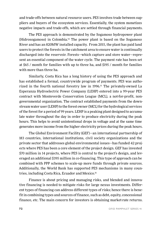and trade-offs between natural resource users. PES involves trade between suppliers and buyers of the ecosystem services. Essentially, the system monetizes negative impacts and trade-offs, which are settled through financial payments.

The PES approach is demonstrated by the Sogamoso hydropower plant (Hidrosogamoso) in Colombia.14 The power plant is based on the Sogamoso River and has an 820MW installed capacity. From 2015, the plant has paid land users to protect the forests in the catchment area to ensure water is continually discharged into the reservoir. Forests—which capture and store water—represent an essential component of the water cycle. The payment rate has been set at \$65 / month for families with up to three ha, and \$195 / month for families with more than three ha.

Similarly, Costa Rica has a long history of using the PES approach and has established a formal, countrywide program of payments. PES was authorized in the fourth national forestry law in 1996.15 The privately-owned La Esperanza Hydroelectric Power Company (LEHP) entered into a 99-year PES contract with Monteverde Conservation League (MCL), a not-for-profit, nongovernmental organization. The contract established payments from the downstream water user (LEHP) to the forest owner (MCL) for the hydrological services of the forest for a period of 99 years. LEHP is a peaking plant designed to accumulate water throughout the day in order to produce electricity during the peak hours. This helps to avoid unintentional drops in voltage and at the same time generates more income from the higher electricity prices during the peak hours.

The Global Environment Facility (GEF)—an international partnership of 183 countries, international institutions, civil society organizations and the private sector that addresses global environmental issues—has funded 42 projects where PES has been a core element of the project design. GEF has invested \$70 million in 14 projects, where PES is central to the project's design, and leveraged an additional \$395 million in co-financing. This type of approach can be combined with PPP schemes to scale-up more funds through private sources. Additionally, the World Bank has supported PES mechanisms in many countries, including Costa Rica, Ecuador and Mexico.16

Finance is about pricing and managing risks, and blended and innovative financing is needed to mitigate risks for large nexus investments. Different types of financing can address different types of risks; hence there is benefit in combining types and sources of finance, such as debt, equity, concessional finance, etc. The main concern for investors is obtaining market-rate returns.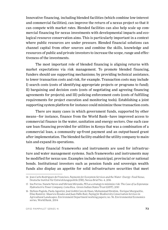Innovative financing, including blended facilities (which combine low-interest and commercial facilities), can improve the return of a nexus project so that it can compete with market rates. Blended facilities can also help scale up commercial financing for nexus investments with developmental impacts and ecological resource conservation aims. This is particularly important in a context where public resources are under pressure. Blended financial solutions can channel capital from other sources and combine the skills, knowledge and resources of public and private investors to increase the scope, range and effectiveness of the investments.

The most important role of blended financing is aligning returns with market expectations via risk management. To promote blended financing, funders should use supporting mechanisms; by providing technical assistance, to lower transaction costs and risk, for example. Transaction costs may include I) search costs (costs of identifying appropriate projects or programs to fund); II) bargaining and decision costs (costs of negotiating and agreeing financing agreements for projects); and III) policing enforcement costs (costs of fulfilling requirements for project execution and monitoring tools). Establishing a joint supporting system platform for instance could minimize those transaction costs.

There are many cases in which government funds, supported by other means—for instance, finance from the World Bank—have improved access to commercial finance in the water, sanitation and energy sectors. One such case saw loan financing provided for utilities in Kenya that was a combination of a commercial loan, a community up-front payment and an output-based grant after implementation. The blended facility enabled the utility company to maintain and expand its operations.

Many financial frameworks and instruments are used for infrastructure and water management systems. Such frameworks and instruments may be modified for nexus use. Examples include municipal, provincial or national bonds. Institutional investors such as pension funds and sovereign wealth funds also display an appetite for solid infrastructure securities that meet

<sup>14</sup> Jean Carlo Rodríguez de Francisco, *Payments for Ecosystem Services and the Water–Energy–Food Nexus*, Deutsche Institut für Entwicklungspolitik (DIE), Nexus Brief No. 4, 2016

<sup>15</sup> Ina Porras, Nanete Neves and Miriam Miranda, *PES as a strategy to minimize risk: The Case of La Esperanza Hydroelectric Power Company, Costa Rica*, Green Indian States Trust (GIST), 2010

<sup>16</sup> Stefano Pagiola, Paola Agostini, José Gobbi Cees de Haan, Muhammad Ibrahim, Enrique Murgueitio, Elías Ramírez *Mauricio Rosales and Juan Pablo Ruíz, Paying for Biodiversity Conservation Services in Agricultural Landscapes*, Environment Department working papers; no. 96. Environmental Economics series, World Bank, 2004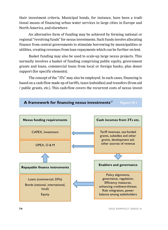their investment criteria. Municipal bonds, for instance, have been a traditional means of financing urban water services in large cities in Europe and North America, and elsewhere.

An alternative form of funding may be achieved by forming national or regional "revolving funds" for nexus investments. Such funds involve allocating finance from central governments to stimulate borrowing by municipalities or utilities, creating revenues from loan repayments which can be further on-lent.

Basket funding may also be used to scale-up large nexus projects. This normally involves a basket of funding comprising public equity, government grants and loans, commercial loans from local or foreign banks, plus donor support (for specific elements).

The concept of the "3Ts" may also be employed. In such cases, financing is based on a cash-flow made up of tariffs, taxes (subsidies) and transfers (from aid / public grants, etc.). This cash-flow covers the recurrent costs of nexus invest-

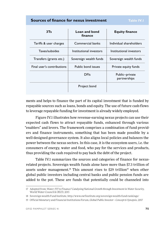#### **Sources of finance for nexus investment Table IV.1**

| 3Ts                        | Loan and bond<br>finance | <b>Equity finance</b>          |
|----------------------------|--------------------------|--------------------------------|
| Tariffs & user charges     | Commercial banks         | Individual shareholders        |
| Taxes/subsides             | Institutional investors  | Institutional investors        |
| Transfers (grants etc.)    | Sovereign wealth funds   | Sovereign wealth funds         |
| Final user's contributions | Public bond issues       | Private equity funds           |
|                            | <b>DFIs</b>              | Public-private<br>partnerships |
|                            | Project bond             |                                |

ments and helps to finance the part of its capital investment that is funded by repayable sources such as loans, bonds and equity. The use of future cash-flows to leverage repayable funding for investment is already widely employed.

Figure IV.1 illustrates how revenue-earning nexus projects can use their expected cash flows to attract repayable funds, enhanced through various "enablers" and levers. The framework comprises a combination of fund providers and finance instruments, something that has been made possible by a well-designed governance system. It also aligns local policies and balances the power between the nexus sectors. In this case, it is the ecosystem users, i.e. the consumers of energy, water and food, who pay for the services and products, thus providing the cash required to pay back the debt of the project.

Table IV.1 summarizes the sources and categories of finance for nexusrelated projects. Sovereign wealth funds alone have more than \$7.3 trillion of assets under management.<sup>18</sup> This amount rises to  $$29$  trillion<sup>19</sup> when other global public investors including central banks and public pension funds are added to the pot. These are funds that potentially could be channeled into

<sup>17</sup> Adopted from: *Water: FIT to Finance? Catalysing National Growth through Investment in Water Security*, World Water Council & OECD, 2015

<sup>18</sup> Sovereign wealth Fund Institute, http://www.swfinstitute.org/sovereign-wealth-fund-rankings/

<sup>19</sup> Official Monetary and Financial Institutions Forum, *Global Public Investor—Concept & Synopsis*, 2017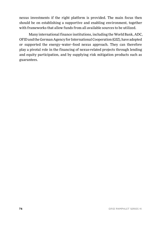nexus investments if the right platform is provided. The main focus then should be on establishing a supportive and enabling environment, together with frameworks that allow funds from all available sources to be utilized.

Many international finance institutions, including the World Bank, ADC, OFID and the German Agency for International Cooperation (GIZ), have adopted or supported the energy–water–food nexus approach. They can therefore play a pivotal role in the financing of nexus-related projects through lending and equity participation, and by supplying risk mitigation products such as guarantees.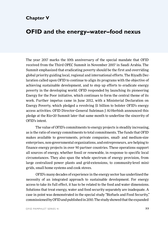### **Chapter V**

## **OFID and the energy–water–food nexus**

The year 2017 marks the 10th anniversary of the special mandate that OFID received from the Third OPEC Summit in November 2007 in Saudi Arabia. The Summit emphasized that eradicating poverty should be the first and overriding global priority guiding local, regional and international efforts. The Riyadh Declaration called upon OFID to continue to align its programs with the objective of achieving sustainable development, and to step up efforts to eradicate energy poverty in the developing world. OFID responded by launching its pioneering Energy for the Poor initiative, which continues to form the central theme of its work. Further impetus came in June 2012, with a Ministerial Declaration on Energy Poverty, which pledged a revolving \$1 billion to bolster OFID's energy access activities. OFID Director-General Suleiman J Al-Herbish announced this pledge at the Rio+20 Summit later that same month to underline the sincerity of OFID's intent.

The value of OFID's commitments to energy projects is steadily increasing, as is the ratio of energy commitments to total commitments. The funds that OFID makes available to governments, private companies, small- and medium-size enterprises, non-governmental organizations, and entrepreneurs, are helping to finance energy projects in over 90 partner countries. These operations support all sources of energy, whether fossil or renewable, in response to specific local circumstances. They also span the whole spectrum of energy provision, from large centralized power plants and grid-extensions, to community-level minigrids, small home systems and cook stoves.

OFID's many decades of experience in the energy sector has underlined the necessity of an integrated approach to sustainable development. For energy access to take its full effect, it has to be related to the food and water dimensions. Solutions that treat energy, water and food security separately are inadequate. A case in point was demonstrated in the special study "Biofuels and Food Security," commissioned by OFID and published in 2010. The study showed that the expanded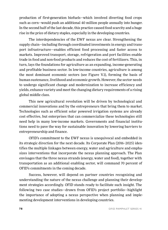production of first-generation biofuels—which involved diverting food crops such as corn—would push an additional 40 million people annually into hunger. In the second half of the last decade, this practice caused food scarcity and a huge rise in the price of dietary staples, especially in the developing countries.

The interdependencies of the EWF nexus are clear. Strengthening the supply chain—including through coordinated investments in energy and transport infrastructure—enables efficient food processing and faster access to markets. Improved transport, storage, refrigeration and port facilities enable trade in food and non-food products and reduces the cost of fertilizers. This, in turn, lays the foundations for agriculture as an expanding, income-generating and profitable business sector. In low-income countries, agriculture is among the most dominant economic sectors (see Figure V.1), forming the basis of human sustenance, livelihood and economic growth. However, the sector needs to undergo significant change and modernization to increase efficiency and yields, enhance variety and meet the changing dietary requirements of a rising global middle class.

This new agricultural revolution will be driven by technological and commercial innovations and by the entrepreneurs that bring them to market. Technologies such as efficient solar powered irrigation systems are already cost effective, but enterprises that can commercialize these technologies still need help in many low-income markets. Governments and financial institutions need to pave the way for sustainable innovation by lowering barriers to entrepreneurship and finance.

OFID's commitment to the EWF nexus is unequivocal and embedded in its strategic direction for the next decade. Its Corporate Plan (2016–2025) identifies the multiple linkages between energy, water and agriculture and emphasizes interventions that incorporate the nexus planning approach. The Plan envisages that the three nexus strands (energy, water and food), together with transportation as an additional enabling sector, will command 70 percent of OFID's commitments in the coming decade.

Success, however, will depend on partner countries recognizing and understanding the nature of the nexus challenge and planning their development strategies accordingly. OFID stands ready to facilitate such insight. The following two case studies—drawn from OFID's project portfolio—highlight the importance of adopting a nexus perspective when planning and implementing development interventions in developing countries.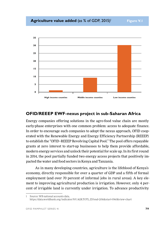

#### **OFID/REEEP EWF-nexus project in sub-Saharan Africa**

Energy companies offering solutions in the agro-food value chain are mostly early-phase enterprises with one common problem: access to adequate finance. In order to encourage such companies to adopt the nexus approach, OFID cooperated with the Renewable Energy and Energy Efficiency Partnership (REEEP) to establish the "OFID–REEEP Revolving Capital Pool." The pool offers repayable grants at zero interest to start-up businesses to help them provide affordable, modern energy services and unlock their potential for scale up. In its first round in 2014, the pool partially funded two energy access projects that positively impacted the water and food sectors in Kenya and Tanzania.

As in many developing countries, agriculture is the lifeblood of Kenya's economy, directly responsible for over a quarter of GDP and a fifth of formal employment (and over 70 percent of informal jobs in rural areas). A key element to improving agricultural production is irrigation. However, only 4 percent of irrigable land is currently under irrigation. To advance productivity

Source: WB national accounts data, https://data.worldbank.org/indicator/NV.AGR.TOTL.ZS?end=2016&start=1960&view=chart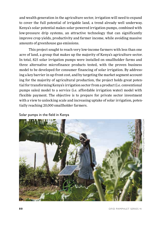and wealth generation in the agriculture sector, irrigation will need to expand to cover the full potential of irrigable land, a trend already well underway. Kenya's solar potential makes solar-powered irrigation pumps, combined with low-pressure drip systems, an attractive technology that can significantly improve crop yields, productivity and farmer income, while avoiding massive amounts of greenhouse gas emissions.

This project sought to reach very low-income farmers with less than one acre of land, a group that makes up the majority of Kenya's agriculture sector. In total, 825 solar irrigation pumps were installed on smallholder farms and three alternative microfinance products tested, with the proven business model to be developed for consumer financing of solar irrigation. By addressing a key barrier in up-front cost, and by targeting the market segment accounting for the majority of agricultural production, the project holds great potential for transforming Kenya's irrigation sector from a product (i.e. conventional pumps sales) model to a service (i.e. affordable irrigation water) model with flexible payment. The objective is to prepare for private sector investment with a view to unlocking scale and increasing uptake of solar irrigation, potentially reaching 20,000 smallholder farmers.

Solar pumps in the field in Kenya

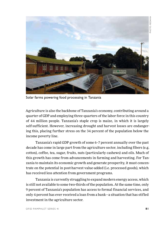

Solar farms powering food processing in Tanzania

Agriculture is also the backbone of Tanzania's economy, contributing around a quarter of GDP and employing three-quarters of the labor force in this country of 44 million people. Tanzania's staple crop is maize, in which it is largely self-sufficient. However, increasing drought and harvest losses are endangering this, placing further stress on the 34 percent of the population below the income poverty line.

Tanzania's rapid GDP growth of some 6–7 percent annually over the past decade has come in large part from the agriculture sector, including fibers (e.g. cotton), coffee, tea, sugar, fruits, nuts (particularly cashews) and oils. Much of this growth has come from advancements in farming and harvesting. For Tanzania to maintain its economic growth and generate prosperity, it must concentrate on the potential in post-harvest value-added (i.e. processed goods), which has received less attention from government programs.

Tanzania is currently struggling to expand modern energy access, which is still not available to some two-thirds of the population. At the same time, only 9 percent of Tanzania's population has access to formal financial services, and only 4 percent has ever received a loan from a bank—a situation that has stifled investment in the agriculture sector.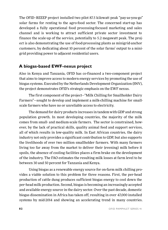The OFID–REEEP project installed two pilot 87.5 kilowatt peak "pay-as-you-go" solar farms for renting to the agro-food sector. The concerned start-up has developed a fully operational food processing-focused marketing and sales channel and is working to attract sufficient private sector investment to finance the scale-up of the service, potentially to 5.2 megawatt peak. The project is also demonstrating the use of food-processing plants as minigrid-anchor customers, by dedicating about 10 percent of the solar farms' output to a minigrid providing power to adjacent residential users.

### **A biogas-based EWF-nexus project**

Also in Kenya and Tanzania, OFID has co-financed a two-component project that aims to improve access to modern energy services by promoting the use of biogas systems. Executed by the Netherlands Development Organization (SNV), the project demonstrates OFID's strategic emphasis on the EWF nexus.

The first component of the project—"Milk Chilling for Smallholder Dairy Farmers"—sought to develop and implement a milk-chilling machine for smallscale farmers who have no or unreliable access to electricity.

The demand for dairy products increases in tandem with GDP and strong population growth. In most developing countries, the majority of the milk comes from small- and medium-scale farmers. The sector is constrained, however, by the lack of practical skills, quality animal feed and support services, all of which results in low-quality milk. In East African countries, the dairy industry not only provides a significant contribution to GDP, but also supports the livelihoods of over two million smallholder farmers. With many farmers living too far away from the market to deliver their (evening) milk before it spoils, the absence of cooling facilities places a firm brake on the development of the industry. The FAO estimates the resulting milk losses at farm level to be between 30 and 50 percent for Tanzania and Kenya.

Using biogas as a renewable energy source for on-farm milk chilling provides a viable solution to this problem for three reasons. First, the per-head production of cattle dung produces sufficient biogas energy to cool down the per-head milk production. Second, biogas is becoming an increasingly accepted and available energy source in the dairy sector. Over the past decade, domestic biogas dissemination in Africa has taken off, resulting in over 47,000 installed systems by mid-2014 and showing an accelerating trend in many countries.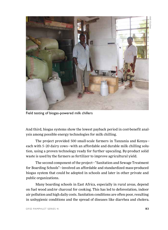PHOTO: SNV<u>фто</u>



Field testing of biogas-powered milk chillers

And third, biogas systems show the lowest payback period in cost-benefit analysis among possible energy technologies for milk chilling.

The project provided 500 small-scale farmers in Tanzania and Kenya each with 5–20 dairy cows—with an affordable and durable milk chilling solution, using a proven technology ready for further upscaling. By-product solid waste is used by the farmers as fertilizer to improve agricultural yield.

The second component of the project—"Sanitation and Sewage Treatment for Boarding Schools"—involved an affordable and standardized mass-produced biogas system that could be adopted in schools and later in other private and public organizations.

Many boarding schools in East Africa, especially in rural areas, depend on fuel wood and/or charcoal for cooking. This has led to deforestation, indoor air pollution and high daily costs. Sanitation conditions are often poor, resulting in unhygienic conditions and the spread of diseases like diarrhea and cholera.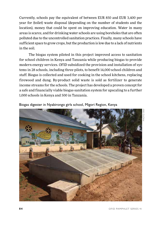Currently, schools pay the equivalent of between EUR 850 and EUR 3,400 per year for (toilet) waste disposal (depending on the number of students and the location), money that could be spent on improving education. Water in many areas is scarce, and for drinking water schools are using boreholes that are often polluted due to the uncontrolled sanitation practices. Finally, many schools have sufficient space to grow crops, but the production is low due to a lack of nutrients in the soil.

The biogas system piloted in this project improved access to sanitation for school children in Kenya and Tanzania while producing biogas to provide modern energy services. OFID subsidized the provision and installation of systems in 28 schools, including three pilots, to benefit 14,000 school children and staff. Biogas is collected and used for cooking in the school kitchens, replacing firewood and dung. By-product solid waste is sold as fertilizer to generate income streams for the schools. The project has developed a proven concept for a safe and financially viable biogas-sanitation system for upscaling to a further 1,000 schools in Kenya and 500 in Tanzania.



Biogas digester in Nyabirongo girls school, Migori Region, Kenya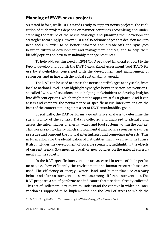### **Planning of EWF-nexus projects**

As stated before, while OFID stands ready to support nexus projects, the realization of such projects depends on partner countries recognizing and understanding the nature of the nexus challenge and planning their development strategies accordingly. However, OFID also acknowledges that decision makers need tools in order to be better informed about trade-offs and synergies between different development and management choices, and to help them identify options on how to sustainably manage resources.

To help address this need, in 2014 OFID provided financial support to the FAO to develop and publish the EWF Nexus Rapid Assessment Tool (RAT)<sup>2</sup> for use by stakeholders concerned with the development and management of resources, and in line with the global sustainability agenda.

The RAT can be used to assess the nexus interlinkages at any scale, from local to national level. It can highlight synergies between sector interventions so-called "win-win" solutions—thus helping stakeholders to develop insights into different options, which might not be apparent at first glance. And it can assess and compare the performance of specific nexus interventions on the basis of the context status against a set of EWF sustainability goals.

Specifically, the RAT performs a quantitative analysis to determine the sustainability of the context. Data is collected and analyzed to identify and assess the interlinkages of energy, water and food systems within the context. This work seeks to clarify which environmental and social resources are under pressure and pinpoint the critical interlinkages and competing interests. This, in turn, allows for the identification of criticalities that may arise in the future. It also includes the development of possible scenarios, highlighting the effects of current trends (business as usual) or new policies on the natural environment and the society.

In the RAT, specific interventions are assessed in terms of their performance, i.e. how efficiently the environment and human resource bases are used. The efficiency of energy-, water-, land- and human-time-use can vary before and after an intervention, as well as among different interventions. The RAT proposes a set of performance indicators that use data already collected. This set of indicators is relevant to understand the context in which an intervention is supposed to be implemented and the level of stress to which the

<sup>2</sup> FAO, Walking the Nexus Talk: Assessing the Water–Energy–Food Nexus, 2014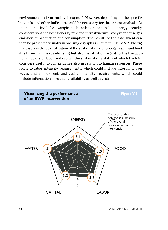environment and / or society is exposed. However, depending on the specific "nexus issue," other indicators could be necessary for the context analysis. At the national level, for example, such indicators can include energy security considerations including energy mix and infrastructure; and greenhouse gas emission of production and consumption. The results of the assessment can then be presented visually in one single graph as shown in Figure V.2. The figure displays the quantification of the sustainability of energy, water and food (the three main nexus elements) but also the situation regarding the two additional factors of labor and capital, the sustainability status of which the RAT considers useful to contextualize also in relation to human resources. These relate to labor intensity requirements, which could include information on wages and employment, and capital intensity requirements, which could include information on capital availability as well as costs.

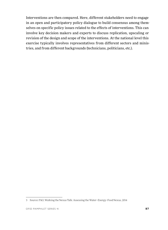Interventions are then compared. Here, different stakeholders need to engage in an open and participatory policy dialogue to build consensus among themselves on specific policy issues related to the effects of interventions. This can involve key decision makers and experts to discuss replication, upscaling or revision of the design and scope of the interventions. At the national level this exercise typically involves representatives from different sectors and ministries, and from different backgrounds (technicians, politicians, etc.).

<sup>3</sup> Source: FAO, Walking the Nexus Talk: Assessing the Water–Energy–Food Nexus, 2014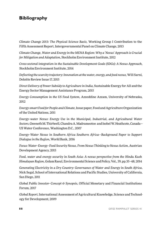### **Bibliography**

*Climate Change 2013: The Physical Science Basis*, Working Group I Contribution to the Fifth Assessment Report, Intergovernmental Panel on Climate Change, 2013

*Climate Change, Water and Energy in the MENA Region: Why a 'Nexus' Approach is Crucial for Mitigation and Adaptation*, Stockholm Environment Institute, 2012

*Cross-sectoral integration in the Sustainable Development Goals (SDGs): A Nexus Approach*, Stockholm Environment Institute, 2014

*Deflecting the scarcity trajectory: Innovation at the water, energy, and food nexus*, Will Sarni, Deloitte Review Issue 17, 2015

*Direct Delivery of Power Subsidy to Agriculture in India*, Sustainable Energy for All and the Energy Sector Management Assistance Program, 2015

*Energy Consumption in the US Food System*, Azzeddine Azzam, University of Nebraska, 2012

*Energy-smart Food for People and Climate*, Issue paper, Food and Agriculture Organization of the United Nations, 2011

*Energy–water Nexus: Energy Use in the Municipal, Industrial, and Agricultural Water Sectors*, Gweneth M. Thirlwell, Chandra A. Madramootoo and Isobel W. Heathcote, Canada— US Water Conference, Washington D.C., 2007

*Energy–Water Nexus in Southern Africa Southern Africa—Background Paper to Support Dialogue in the Region*, World Bank, 2016

*Focus: Water–Energy–Food Security Nexus, From Nexus Thinking to Nexus Action*, Austrian Development Agency, 2015

*Food, water and energy security in South Asia: A nexus perspective from the Hindu Kush Himalayan Region*, Golam Rasul, Environmental Science and Policy, Vol., 39, pp.35–48, 2014

*Generating Electricity in a Dry Country: Governance of Water and Energy in South Africa*, Nick Segal, School of International Relations and Pacific Studies, University of California, San Diego, 2011

*Global Public Investor–Concept & Synopsis*, Official Monetary and Financial Institutions Forum, 2017

*Global Report,* International Assessment of Agricultural Knowledge, Science and Technology for Development, 2009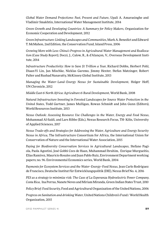*Global Water Demand Projections: Past, Present and Future*, Upali A. Amarasinghe and Vladimir Smakhtin, International Water Management Institute, 2014

*Green Growth and Developing Countries: A Summary for Policy Makers*, Organization for Economic Cooperation and Development, 2012

*Green Infrastructure: Linking Landscapes and Communities*, Mark A. Benedict and Edward T. McMahon, 2nd Edition, the Conservation Fund, Island Press, 2006

*Growing More with Less: China's Progress in Agricultural Water Management and Reallocation (Case Study Report)*, Doczi, J., Calow, R., & d'Alançon, V., Overseas Development Institute, 2014

*Infrastructure Productivity: How to Save \$1 Trillion a Year*, Richard Dobbs, Herbert Pohl, Diaan-Yi Lin, Jan Mischke, Nicklas Garemo, Jimmy Hexter, Stefan Matzinger, Robert Palter and Rushad Nanavatty, McKinsey Global Institute, 2013

*Managing the Water–Land–Energy Nexus for Sustainable Development*, Holger Hoff, UN Chronicle, 2012

*Middle East & North Africa: Agriculture & Rural Development*, World Bank, 2008

*Natural Infrastructure Investing in Forested Landscapes for Source Water Protection in the United States*, Todd Gartner, James Mulligan, Rowan Schmidt and John Gunn (Editors), World Resources Institute, 2013

*Nexus Outlook: Assessing Resource Use Challenges in the Water, Energy and Food Nexus*, Mohammad Al-Saidi, and Lars Ribbe (Eds.), Nexus Research Focus, TH- Köln, University of Applied Sciences, 2017

*Nexus Trade-offs and Strategies for Addressing the Water, Agriculture and Energy Security Nexus in Africa*, The Infrastructure Consortium for Africa, the International Union for Conservation of Nature and the International Water Association, 2015

*Paying for Biodiversity Conservation Services in Agricultural Landscapes*, Stefano Pagiola, Paola Agostini, José Gobbi Cees de Haan, Muhammad Ibrahim, Enrique Murgueitio, Elías Ramírez, Mauricio Rosales and Juan Pablo Ruíz, Environment Department working papers; no. 96. Environmental Economics series, World Bank, 2004

*Payments for Ecosystem Services and the Water–Energy–Food Nexus*, Jean Carlo Rodríguez de Francisco, Deutsche Institut für Entwicklungspolitik (DIE), Nexus Brief No. 4, 2016

*PES as a strategy to minimize risk: The Case of La Esperanza Hydroelectric Power Company, Costa Rica*, Ina Porras, Nanete Neves and Miriam Miranda, Green Indian States Trust, 2010

*Policy Brief: Food Security*, Food and Agricultural Organization of the United Nations, 2006

*Progress on Sanitation and drinking Water*, United Nations Children's Fund / World Health Organization, 2015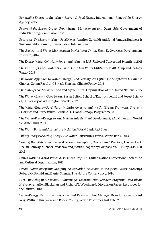*Renewable Energy in the Water, Energy & Food Nexus*, International Renewable Energy Agency, 2015

*Report of the Expert Group: Groundwater Management and Ownership*, Government of India Planning Commission, 2007.

*Resources: The Energy–Water–Food Nexus*, Jennifer Gerholdt and Sonal Pandya, Business & Sustainability Council, Conservation International

*The Agricultural Water Management in Northern China*, Shen, D, Overseas Development Institute, 2014

*The Energy-Water Collision—Power and Water at Risk*, Union of Concerned Scientists, 2011

*The Future of Urban Water: Scenarios for Urban Water Utilities in 2040*, Arup and Sydney Water, 2015

*The Nexus Approach to Water–Energy–Food Security: An Option for Adaptation to Climate Change*, Golam Rasul and Bikash Sharma, Climate Policy, 2016

*The State of Food Security*, Food and Agricultural Organization of the United Nations, 2015

*The Water –Energy –Food Nexus*, Susan Bolton, School of Environmental and Forest Sciences, University of Washington, Seattle, 2012

*The Water–Energy–Food Nexus in Latin America and the Caribbean: Trade-offs, Strategic Priorities and Entry Points*, Bellfield H., Global Canopy Programme, 2015

*The Water–Food–Energy Nexus: Insights into Resilient Development*, SABMiller and World Wildlife Fund, 2014

*The World Bank and Agriculture in Africa*, World Bank Fact Sheet

*Thirsty Energy: Securing Energy in a Water-Constrained World*, World Bank, 2013

*Tracing the Water–Energy–Food Nexus: Description, Theory and Practice*, Hayley Leck, Declan Conway, Michael Bradshaw and Judith, Geography Compass, Vol. 9 (8), pp. 445-460, 2015

*United Nations World Water Assessment Program*, United Nations Educational, Scientific and Cultural Organization, 2016

*Urban Water Blueprint: Mapping conservation solutions to the global water challenge*, Robert McDonald and Daniel Shemie, The Nature Conservancy, 2014

*User Financing in a National Payments for Environmental Services Program: Costa Rican Hydropower*, Allen Blackman and Richard T. Woodward, Discussion Paper, Resources for the Future, 2010

*Water–Energy Nexus: Business Risks and Rewards*, Eliot Metzger, Brandon Owens, Paul Reig, William Hua Wen, and Robert Young, World Resources Institute, 2015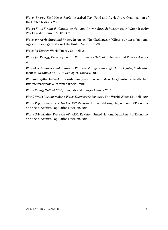*Water–Energy–Food Nexus Rapid Appraisal Tool*, Food and Agriculture Organization of the United Nations, 2015

*Water: Fit to Finance?—Catalyzing National Growth through Investment in Water Security*, World Water Council & OECD, 2015

*Water for Agriculture and Energy in Africa: The Challenges of Climate Change*, Food and Agriculture Organization of the United Nations, 2008

*Water for Energy*, World Energy Council, 2010

*Water for Energy, Excerpt from the World Energy Outlook, International Energy Agency,* 2012

*Water-Level Changes and Change in Water in Storage in the High Plains Aquifer, Predevelopment to 2013 and 2011–13*, US Geological Survey, 2014

*Working together to develop the water, energy and food security sectors*, Deutsche Gesellschaft für Internationale Zusammenarbeit GmbH

*World Energy Outlook 2016,* International Energy Agency, 2016

*World Water Vision: Making Water Everybody's Business*, The World Water Council, 2014

*World Population Prospects—The 2015 Revision*, United Nations, Department of Economic and Social Affairs, Population Division, 2015

*World Urbanization Prospects—The 2014 Revision*, United Nations, Department of Economic and Social Affairs, Population Division, 2014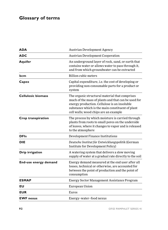# **Glossary of terms**

| ADA                       | <b>Austrian Development Agency</b>                                                                                                                                                                                                                 |  |
|---------------------------|----------------------------------------------------------------------------------------------------------------------------------------------------------------------------------------------------------------------------------------------------|--|
| ADC                       | <b>Austrian Development Cooperation</b>                                                                                                                                                                                                            |  |
| <b>Aquifer</b>            | An underground layer of rock, sand, or earth that<br>contains water or allows water to pass through it,<br>and from which groundwater can be extracted                                                                                             |  |
| bcm                       | <b>Billion cubic meters</b>                                                                                                                                                                                                                        |  |
| Capex                     | Capital expenditure, i.e. the cost of developing or<br>providing non-consumable parts for a product or<br>system                                                                                                                                   |  |
| <b>Cellulosic biomass</b> | The organic structural material that comprises<br>much of the mass of plants and that can be used for<br>energy production. Cellulose is an insoluble<br>substance which is the main constituent of plant<br>cell walls; wood chips are an example |  |
| Crop transpiration        | The process by which moisture is carried through<br>plants from roots to small pores on the underside<br>of leaves, where it changes to vapor and is released<br>to the atmosphere                                                                 |  |
| <b>DFIs</b>               | Development Finance Institutions                                                                                                                                                                                                                   |  |
| DIE                       | Deutsche Institut für Entwicklungspolitik (German<br>Institute for Development Policy)                                                                                                                                                             |  |
| Drip irrigation           | A watering system that delivers a slow moving<br>supply of water at a gradual rate directly to the soil                                                                                                                                            |  |
| End-use energy demand     | Energy demand measured at the end user after all<br>losses, technical or otherwise, are accounted for<br>between the point of production and the point of<br>consumption                                                                           |  |
| <b>ESMAP</b>              | Energy Sector Management Assistance Program                                                                                                                                                                                                        |  |
| EU                        | European Union                                                                                                                                                                                                                                     |  |
| <b>EUR</b>                | Euros                                                                                                                                                                                                                                              |  |
| <b>EWF</b> nexus          | Energy-water-food nexus                                                                                                                                                                                                                            |  |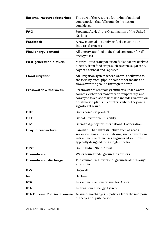| <b>External resource footprints</b>  | The part of the resource footprint of national<br>consumption that falls outside the nation<br>considered                                                                                                                           |
|--------------------------------------|-------------------------------------------------------------------------------------------------------------------------------------------------------------------------------------------------------------------------------------|
| <b>FAO</b>                           | Food and Agriculture Organization of the United<br><b>Nations</b>                                                                                                                                                                   |
| Feedstock                            | A raw material to supply or fuel a machine or<br>industrial process                                                                                                                                                                 |
| Final energy demand                  | All energy supplied to the final consumer for all<br>energy uses                                                                                                                                                                    |
| <b>First-generation biofuels</b>     | Mainly liquid transportation fuels that are derived<br>directly from food crops such as corn, sugarcane,<br>soybeans, wheat and rapeseed                                                                                            |
| <b>Flood irrigation</b>              | An irrigation system where water is delivered to<br>the field by ditch, pipe, or some other means and<br>flows over the ground through the crop                                                                                     |
| <b>Freshwater withdrawals</b>        | Freshwater taken from ground or surface water<br>sources, either permanently or temporarily, and<br>conveyed to a place of use; also includes water from<br>desalination plants in countries where they are a<br>significant source |
| GDP                                  | Gross domestic product                                                                                                                                                                                                              |
| GEF                                  | Global Environment Facility                                                                                                                                                                                                         |
| GIZ                                  | German Agency for International Cooperation                                                                                                                                                                                         |
| Gray infrastructure                  | Familiar urban infrastructure such as roads,<br>sewer systems and storm drains; such conventional<br>infrastructure often uses engineered solutions<br>typically designed for a single function                                     |
| <b>GIST</b>                          | Green Indian States Trust                                                                                                                                                                                                           |
| Groundwater                          | Water found underground in aquifers                                                                                                                                                                                                 |
| Groundwater discharge                | The volumetric flow rate of groundwater through<br>an aquifer                                                                                                                                                                       |
| GW                                   | Gigawatt                                                                                                                                                                                                                            |
| ha                                   | Hectare                                                                                                                                                                                                                             |
| ICA                                  | Infrastructure Consortium for Africa                                                                                                                                                                                                |
| <b>IEA</b>                           | <b>International Energy Agency</b>                                                                                                                                                                                                  |
| <b>IEA Current Policies Scenario</b> | Assumes no changes in policies from the mid-point<br>of the year of publication                                                                                                                                                     |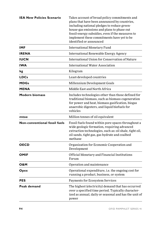| <b>IEA New Policies Scenario</b>     | Takes account of broad policy commitments and<br>plans that have been announced by countries,<br>including national pledges to reduce green-<br>house-gas emissions and plans to phase out<br>fossil-energy subsidies, even if the measures to<br>implement these commitments have yet to be<br>identified or announced |
|--------------------------------------|-------------------------------------------------------------------------------------------------------------------------------------------------------------------------------------------------------------------------------------------------------------------------------------------------------------------------|
| <b>IMF</b>                           | <b>International Monetary Fund</b>                                                                                                                                                                                                                                                                                      |
| <b>IRENA</b>                         | International Renewable Energy Agency                                                                                                                                                                                                                                                                                   |
| <b>IUCN</b>                          | International Union for Conservation of Nature                                                                                                                                                                                                                                                                          |
| <b>IWA</b>                           | <b>International Water Association</b>                                                                                                                                                                                                                                                                                  |
| kg                                   | Kilogram                                                                                                                                                                                                                                                                                                                |
| <b>LDCs</b>                          | Least-developed countries                                                                                                                                                                                                                                                                                               |
| <b>MDGs</b>                          | Millennium Development Goals                                                                                                                                                                                                                                                                                            |
| <b>MENA</b>                          | Middle East and North Africa                                                                                                                                                                                                                                                                                            |
| Modern biomass                       | Includes technologies other than those defined for<br>traditional biomass, such as biomass cogeneration<br>for power and heat, biomass gasification, biogas<br>anaerobic digesters, and liquid biofuels for<br>vehicles                                                                                                 |
| mtoe                                 | Million tonnes of oil equivalent                                                                                                                                                                                                                                                                                        |
| <b>Non-conventional fossil fuels</b> | Fossil fuels found within pore spaces throughout a<br>wide geologic formation, requiring advanced<br>extraction technologies, such as: oil shale, tight oil,<br>oil sands, tight gas, gas hydrate and coalbed<br>methane                                                                                                |
| <b>OECD</b>                          | Organization for Economic Cooperation and<br>Development                                                                                                                                                                                                                                                                |
| <b>OMIF</b>                          | Official Monetary and Financial Institutions<br>Forum                                                                                                                                                                                                                                                                   |
| O&M                                  | Operation and maintenance                                                                                                                                                                                                                                                                                               |
| Opex                                 | Operational expenditure, i.e. the ongoing cost for<br>running a product, business, or system                                                                                                                                                                                                                            |
| PES                                  | Payments for Ecosystem Services                                                                                                                                                                                                                                                                                         |
| Peak demand                          | The highest (electricity) demand that has occurred<br>over a specified time period. Typically character-<br>ized as annual, daily or seasonal and has the unit of<br>power                                                                                                                                              |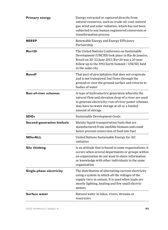| <b>Primary energy</b>             | Energy extracted or captured directly from<br>natural resources, such as crude oil; coal; natural<br>gas; wind and solar radiation, which has not been<br>subjected to any human engineered conversion or<br>transformation process |
|-----------------------------------|-------------------------------------------------------------------------------------------------------------------------------------------------------------------------------------------------------------------------------------|
| <b>REEEP</b>                      | Renewable Energy and Energy Efficiency<br>Partnership                                                                                                                                                                               |
| <b>Rio+20</b>                     | The United Nations Conference on Sustainable<br>Development (UNCSD) took place in Rio de Janeiro,<br>Brazil on 20-22 June 2012; Rio+20 was a 20-year<br>follow-up to the 1992 Earth Summit / UNCSD, held<br>in the same city        |
| <b>Runoff</b>                     | That part of precipitation that does not evaporate<br>and is not transpired, but flows through the<br>ground or over the ground surface and returns to<br>bodies of water                                                           |
| <b>Run-of-river schemes</b>       | A type of hydroelectric generation whereby the<br>natural flow and elevation drop of a river are used<br>to generate electricity; run-of-river power schemes<br>may have no water storage at all or a limited<br>amount of storage  |
| <b>SDGs</b>                       | Sustainable Development Goals                                                                                                                                                                                                       |
| <b>Second-generation biofuels</b> | Mainly liquid transportation fuels that are<br>manufactured from inedible biomass and could<br>hence prevent conversion of food into fuel                                                                                           |
| <b>SEforALL</b>                   | United Nations Sustainable Energy for All<br>initiative                                                                                                                                                                             |
| Silo thinking                     | Is an attitude that is found in some organizations; it<br>occurs when several departments or groups within<br>an organization do not want to share information<br>or knowledge with other individuals in the same<br>organization   |
| Single-phase electricity          | The distribution of alternating current electricity<br>using a system in which all the voltages of the<br>supply vary in unison. It is used when loads are<br>mostly lighting, heating and few small electric<br>motors             |
| Surface water                     | Natural water in lakes, rivers, streams or<br>reservoirs                                                                                                                                                                            |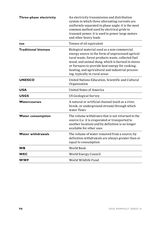| Three-phase electricity    | An electricity transmission and distribution<br>system in which three alternating currents are<br>uniformly separated in phase angle; it is the most<br>common method used by electrical grids to<br>transmit power; it is used to power large motors<br>and other heavy loads                                                                       |  |
|----------------------------|------------------------------------------------------------------------------------------------------------------------------------------------------------------------------------------------------------------------------------------------------------------------------------------------------------------------------------------------------|--|
| toe                        | Tonnes of oil equivalent                                                                                                                                                                                                                                                                                                                             |  |
| <b>Traditional biomass</b> | Biological material used as a non-commercial<br>energy source in the form of unprocessed agricul-<br>tural waste, forest products waste, collected fuel<br>wood, and animal dung, which is burned in stoves<br>or furnaces to provide heat energy for cooking,<br>heating, and agricultural and industrial process-<br>ing, typically in rural areas |  |
| <b>UNESCO</b>              | United Nations Education, Scientific and Cultural<br>Organization                                                                                                                                                                                                                                                                                    |  |
| <b>USA</b>                 | <b>United States of America</b>                                                                                                                                                                                                                                                                                                                      |  |
| <b>USGS</b>                | <b>US Geological Survey</b>                                                                                                                                                                                                                                                                                                                          |  |
| Watercourses               | A natural or artificial channel (such as a river,<br>brook, or underground stream) through which<br>water flows                                                                                                                                                                                                                                      |  |
| <b>Water consumption</b>   | The volume withdrawn that is not returned to the<br>source (i.e. it is evaporated or transported to<br>another location) and by definition is no longer<br>available for other uses                                                                                                                                                                  |  |
| <b>Water withdrawals</b>   | The volume of water removed from a source; by<br>definition withdrawals are always greater than or<br>equal to consumption                                                                                                                                                                                                                           |  |
| <b>WB</b>                  | World Bank                                                                                                                                                                                                                                                                                                                                           |  |
| <b>WEC</b>                 | World Energy Council                                                                                                                                                                                                                                                                                                                                 |  |
| <b>WWF</b>                 | World Wildlife Fund                                                                                                                                                                                                                                                                                                                                  |  |